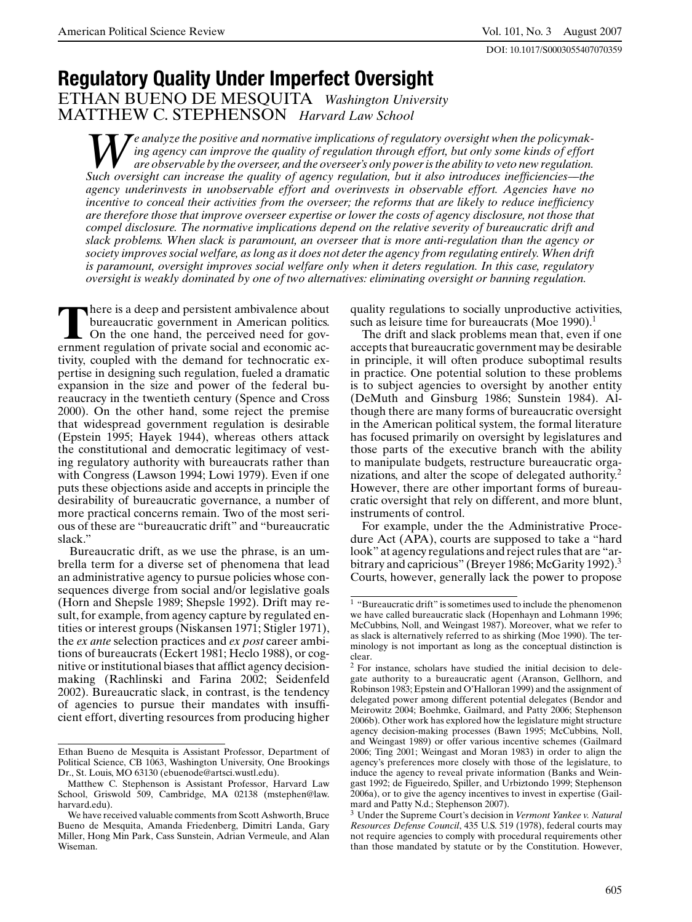DOI: 10.1017/S0003055407070359

# **Regulatory Quality Under Imperfect Oversight** ETHAN BUENO DE MESQUITA *Washington University* MATTHEW C. STEPHENSON *Harvard Law School*

*W ing agency can improve the quality of regulations of regulatory oversight when the policymak-*<br>*are observable by the overseer, and the overseer's only power is the ability to veto new regulation.*<br>Such oversight can *ing agency can improve the quality of regulation through effort, but only some kinds of effort are observable by the overseer, and the overseer's only power is the ability to veto new regulation. Such oversight can increase the quality of agency regulation, but it also introduces inefficiencies—–the agency underinvests in unobservable effort and overinvests in observable effort. Agencies have no incentive to conceal their activities from the overseer; the reforms that are likely to reduce inefficiency are therefore those that improve overseer expertise or lower the costs of agency disclosure, not those that compel disclosure. The normative implications depend on the relative severity of bureaucratic drift and slack problems. When slack is paramount, an overseer that is more anti-regulation than the agency or society improves social welfare, as long as it does not deter the agency from regulating entirely. When drift is paramount, oversight improves social welfare only when it deters regulation. In this case, regulatory oversight is weakly dominated by one of two alternatives: eliminating oversight or banning regulation.*

There is a deep and persistent ambivalence about bureaucratic government in American politics. On the one hand, the perceived need for government regulation of private social and economic activity, coupled with the demand for technocratic expertise in designing such regulation, fueled a dramatic expansion in the size and power of the federal bureaucracy in the twentieth century (Spence and Cross 2000). On the other hand, some reject the premise that widespread government regulation is desirable (Epstein 1995; Hayek 1944), whereas others attack the constitutional and democratic legitimacy of vesting regulatory authority with bureaucrats rather than with Congress (Lawson 1994; Lowi 1979). Even if one puts these objections aside and accepts in principle the desirability of bureaucratic governance, a number of more practical concerns remain. Two of the most serious of these are "bureaucratic drift" and "bureaucratic slack."

Bureaucratic drift, as we use the phrase, is an umbrella term for a diverse set of phenomena that lead an administrative agency to pursue policies whose consequences diverge from social and/or legislative goals (Horn and Shepsle 1989; Shepsle 1992). Drift may result, for example, from agency capture by regulated entities or interest groups (Niskansen 1971; Stigler 1971), the *ex ante* selection practices and *ex post* career ambitions of bureaucrats (Eckert 1981; Heclo 1988), or cognitive or institutional biases that afflict agency decisionmaking (Rachlinski and Farina 2002; Seidenfeld 2002). Bureaucratic slack, in contrast, is the tendency of agencies to pursue their mandates with insufficient effort, diverting resources from producing higher quality regulations to socially unproductive activities, such as leisure time for bureaucrats (Moe  $1990$ ).<sup>1</sup>

The drift and slack problems mean that, even if one accepts that bureaucratic government may be desirable in principle, it will often produce suboptimal results in practice. One potential solution to these problems is to subject agencies to oversight by another entity (DeMuth and Ginsburg 1986; Sunstein 1984). Although there are many forms of bureaucratic oversight in the American political system, the formal literature has focused primarily on oversight by legislatures and those parts of the executive branch with the ability to manipulate budgets, restructure bureaucratic organizations, and alter the scope of delegated authority.<sup>2</sup> However, there are other important forms of bureaucratic oversight that rely on different, and more blunt, instruments of control.

For example, under the the Administrative Procedure Act (APA), courts are supposed to take a "hard look" at agency regulations and reject rules that are "arbitrary and capricious" (Breyer 1986; McGarity 1992).<sup>3</sup> Courts, however, generally lack the power to propose

Ethan Bueno de Mesquita is Assistant Professor, Department of Political Science, CB 1063, Washington University, One Brookings Dr., St. Louis, MO 63130 (ebuenode@artsci.wustl.edu).

Matthew C. Stephenson is Assistant Professor, Harvard Law School, Griswold 509, Cambridge, MA 02138 (mstephen@law. harvard.edu).

We have received valuable comments from Scott Ashworth, Bruce Bueno de Mesquita, Amanda Friedenberg, Dimitri Landa, Gary Miller, Hong Min Park, Cass Sunstein, Adrian Vermeule, and Alan Wiseman.

 $^{\rm 1}$  "Bureaucratic drift" is sometimes used to include the phenomenon we have called bureaucratic slack (Hopenhayn and Lohmann 1996; McCubbins, Noll, and Weingast 1987). Moreover, what we refer to as slack is alternatively referred to as shirking (Moe 1990). The terminology is not important as long as the conceptual distinction is clear.

<sup>2</sup> For instance, scholars have studied the initial decision to delegate authority to a bureaucratic agent (Aranson, Gellhorn, and Robinson 1983; Epstein and O'Halloran 1999) and the assignment of delegated power among different potential delegates (Bendor and Meirowitz 2004; Boehmke, Gailmard, and Patty 2006; Stephenson 2006b). Other work has explored how the legislature might structure agency decision-making processes (Bawn 1995; McCubbins, Noll, and Weingast 1989) or offer various incentive schemes (Gailmard 2006; Ting 2001; Weingast and Moran 1983) in order to align the agency's preferences more closely with those of the legislature, to induce the agency to reveal private information (Banks and Weingast 1992; de Figueiredo, Spiller, and Urbiztondo 1999; Stephenson 2006a), or to give the agency incentives to invest in expertise (Gailmard and Patty N.d.; Stephenson 2007).

<sup>3</sup> Under the Supreme Court's decision in *Vermont Yankee v. Natural Resources Defense Council*, 435 U.S. 519 (1978), federal courts may not require agencies to comply with procedural requirements other than those mandated by statute or by the Constitution. However,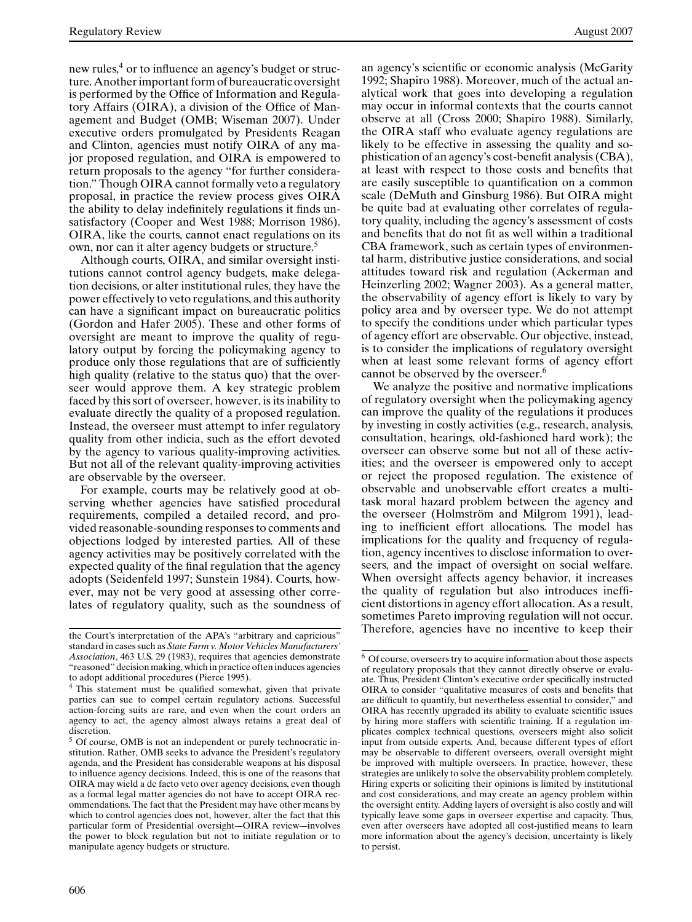new rules,<sup>4</sup> or to influence an agency's budget or structure. Another important form of bureaucratic oversight is performed by the Office of Information and Regulatory Affairs (OIRA), a division of the Office of Management and Budget (OMB; Wiseman 2007). Under executive orders promulgated by Presidents Reagan and Clinton, agencies must notify OIRA of any major proposed regulation, and OIRA is empowered to return proposals to the agency "for further consideration." Though OIRA cannot formally veto a regulatory proposal, in practice the review process gives OIRA the ability to delay indefinitely regulations it finds unsatisfactory (Cooper and West 1988; Morrison 1986). OIRA, like the courts, cannot enact regulations on its own, nor can it alter agency budgets or structure.<sup>5</sup>

Although courts, OIRA, and similar oversight institutions cannot control agency budgets, make delegation decisions, or alter institutional rules, they have the power effectively to veto regulations, and this authority can have a significant impact on bureaucratic politics (Gordon and Hafer 2005). These and other forms of oversight are meant to improve the quality of regulatory output by forcing the policymaking agency to produce only those regulations that are of sufficiently high quality (relative to the status quo) that the overseer would approve them. A key strategic problem faced by this sort of overseer, however, is its inability to evaluate directly the quality of a proposed regulation. Instead, the overseer must attempt to infer regulatory quality from other indicia, such as the effort devoted by the agency to various quality-improving activities. But not all of the relevant quality-improving activities are observable by the overseer.

For example, courts may be relatively good at observing whether agencies have satisfied procedural requirements, compiled a detailed record, and provided reasonable-sounding responses to comments and objections lodged by interested parties. All of these agency activities may be positively correlated with the expected quality of the final regulation that the agency adopts (Seidenfeld 1997; Sunstein 1984). Courts, however, may not be very good at assessing other correlates of regulatory quality, such as the soundness of an agency's scientific or economic analysis (McGarity 1992; Shapiro 1988). Moreover, much of the actual analytical work that goes into developing a regulation may occur in informal contexts that the courts cannot observe at all (Cross 2000; Shapiro 1988). Similarly, the OIRA staff who evaluate agency regulations are likely to be effective in assessing the quality and sophistication of an agency's cost-benefit analysis (CBA), at least with respect to those costs and benefits that are easily susceptible to quantification on a common scale (DeMuth and Ginsburg 1986). But OIRA might be quite bad at evaluating other correlates of regulatory quality, including the agency's assessment of costs and benefits that do not fit as well within a traditional CBA framework, such as certain types of environmental harm, distributive justice considerations, and social attitudes toward risk and regulation (Ackerman and Heinzerling 2002; Wagner 2003). As a general matter, the observability of agency effort is likely to vary by policy area and by overseer type. We do not attempt to specify the conditions under which particular types of agency effort are observable. Our objective, instead, is to consider the implications of regulatory oversight when at least some relevant forms of agency effort cannot be observed by the overseer.<sup>6</sup>

We analyze the positive and normative implications of regulatory oversight when the policymaking agency can improve the quality of the regulations it produces by investing in costly activities (e.g., research, analysis, consultation, hearings, old-fashioned hard work); the overseer can observe some but not all of these activities; and the overseer is empowered only to accept or reject the proposed regulation. The existence of observable and unobservable effort creates a multitask moral hazard problem between the agency and the overseer (Holmström and Milgrom 1991), leading to inefficient effort allocations. The model has implications for the quality and frequency of regulation, agency incentives to disclose information to overseers, and the impact of oversight on social welfare. When oversight affects agency behavior, it increases the quality of regulation but also introduces inefficient distortions in agency effort allocation. As a result, sometimes Pareto improving regulation will not occur. Therefore, agencies have no incentive to keep their

the Court's interpretation of the APA's "arbitrary and capricious" standard in cases such as *State Farm v. Motor Vehicles Manufacturers' Association*, 463 U.S. 29 (1983), requires that agencies demonstrate "reasoned" decision making, which in practice often induces agencies to adopt additional procedures (Pierce 1995).

<sup>4</sup> This statement must be qualified somewhat, given that private parties can sue to compel certain regulatory actions. Successful action-forcing suits are rare, and even when the court orders an agency to act, the agency almost always retains a great deal of discretion.

<sup>5</sup> Of course, OMB is not an independent or purely technocratic institution. Rather, OMB seeks to advance the President's regulatory agenda, and the President has considerable weapons at his disposal to influence agency decisions. Indeed, this is one of the reasons that OIRA may wield a de facto veto over agency decisions, even though as a formal legal matter agencies do not have to accept OIRA recommendations. The fact that the President may have other means by which to control agencies does not, however, alter the fact that this particular form of Presidential oversight-OIRA review--involves the power to block regulation but not to initiate regulation or to manipulate agency budgets or structure.

<sup>6</sup> Of course, overseers try to acquire information about those aspects of regulatory proposals that they cannot directly observe or evaluate. Thus, President Clinton's executive order specifically instructed OIRA to consider "qualitative measures of costs and benefits that are difficult to quantify, but nevertheless essential to consider," and OIRA has recently upgraded its ability to evaluate scientific issues by hiring more staffers with scientific training. If a regulation implicates complex technical questions, overseers might also solicit input from outside experts. And, because different types of effort may be observable to different overseers, overall oversight might be improved with multiple overseers. In practice, however, these strategies are unlikely to solve the observability problem completely. Hiring experts or soliciting their opinions is limited by institutional and cost considerations, and may create an agency problem within the oversight entity. Adding layers of oversight is also costly and will typically leave some gaps in overseer expertise and capacity. Thus, even after overseers have adopted all cost-justified means to learn more information about the agency's decision, uncertainty is likely to persist.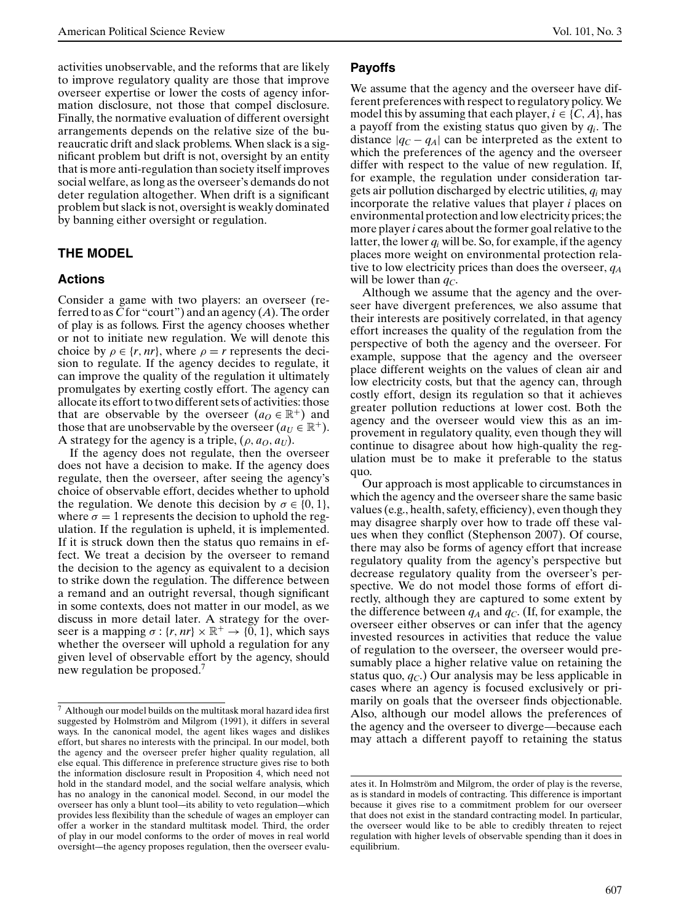activities unobservable, and the reforms that are likely to improve regulatory quality are those that improve overseer expertise or lower the costs of agency information disclosure, not those that compel disclosure. Finally, the normative evaluation of different oversight arrangements depends on the relative size of the bureaucratic drift and slack problems. When slack is a significant problem but drift is not, oversight by an entity that is more anti-regulation than society itself improves social welfare, as long as the overseer's demands do not deter regulation altogether. When drift is a significant problem but slack is not, oversight is weakly dominated by banning either oversight or regulation.

## **THE MODEL**

#### **Actions**

Consider a game with two players: an overseer (referred to as *C*for "court") and an agency (*A*). The order of play is as follows. First the agency chooses whether or not to initiate new regulation. We will denote this choice by  $\rho \in \{r, nr\}$ , where  $\rho = r$  represents the decision to regulate. If the agency decides to regulate, it can improve the quality of the regulation it ultimately promulgates by exerting costly effort. The agency can allocate its effort to two different sets of activities: those that are observable by the overseer  $(a_0 \in \mathbb{R}^+)$  and those that are unobservable by the overseer  $(a_U \in \mathbb{R}^+).$ A strategy for the agency is a triple,  $(\rho, a_O, a_U)$ .

If the agency does not regulate, then the overseer does not have a decision to make. If the agency does regulate, then the overseer, after seeing the agency's choice of observable effort, decides whether to uphold the regulation. We denote this decision by  $\sigma \in \{0, 1\}$ , where  $\sigma = 1$  represents the decision to uphold the regulation. If the regulation is upheld, it is implemented. If it is struck down then the status quo remains in effect. We treat a decision by the overseer to remand the decision to the agency as equivalent to a decision to strike down the regulation. The difference between a remand and an outright reversal, though significant in some contexts, does not matter in our model, as we discuss in more detail later. A strategy for the overseer is a mapping  $\sigma$  : { $r, nr$ }  $\times \mathbb{R}^+ \rightarrow \{0, 1\}$ , which says whether the overseer will uphold a regulation for any given level of observable effort by the agency, should new regulation be proposed.<sup>7</sup>

### **Payoffs**

We assume that the agency and the overseer have different preferences with respect to regulatory policy. We model this by assuming that each player,  $i \in \{C, A\}$ , has a payoff from the existing status quo given by *qi*. The distance  $|q_C - q_A|$  can be interpreted as the extent to which the preferences of the agency and the overseer differ with respect to the value of new regulation. If, for example, the regulation under consideration targets air pollution discharged by electric utilities, *qi* may incorporate the relative values that player *i* places on environmental protection and low electricity prices; the more player*i* cares about the former goal relative to the latter, the lower  $q_i$  will be. So, for example, if the agency places more weight on environmental protection relative to low electricity prices than does the overseer, *qA* will be lower than *qC*.

Although we assume that the agency and the overseer have divergent preferences, we also assume that their interests are positively correlated, in that agency effort increases the quality of the regulation from the perspective of both the agency and the overseer. For example, suppose that the agency and the overseer place different weights on the values of clean air and low electricity costs, but that the agency can, through costly effort, design its regulation so that it achieves greater pollution reductions at lower cost. Both the agency and the overseer would view this as an improvement in regulatory quality, even though they will continue to disagree about how high-quality the regulation must be to make it preferable to the status quo.

Our approach is most applicable to circumstances in which the agency and the overseer share the same basic values (e.g., health, safety, efficiency), even though they may disagree sharply over how to trade off these values when they conflict (Stephenson 2007). Of course, there may also be forms of agency effort that increase regulatory quality from the agency's perspective but decrease regulatory quality from the overseer's perspective. We do not model those forms of effort directly, although they are captured to some extent by the difference between  $q_A$  and  $q_C$ . (If, for example, the overseer either observes or can infer that the agency invested resources in activities that reduce the value of regulation to the overseer, the overseer would presumably place a higher relative value on retaining the status quo,  $q_c$ .) Our analysis may be less applicable in cases where an agency is focused exclusively or primarily on goals that the overseer finds objectionable. Also, although our model allows the preferences of the agency and the overseer to diverge—–because each may attach a different payoff to retaining the status

 $7$  Although our model builds on the multitask moral hazard idea first suggested by Holmström and Milgrom (1991), it differs in several ways. In the canonical model, the agent likes wages and dislikes effort, but shares no interests with the principal. In our model, both the agency and the overseer prefer higher quality regulation, all else equal. This difference in preference structure gives rise to both the information disclosure result in Proposition 4, which need not hold in the standard model, and the social welfare analysis, which has no analogy in the canonical model. Second, in our model the overseer has only a blunt tool—its ability to veto regulation—which provides less flexibility than the schedule of wages an employer can offer a worker in the standard multitask model. Third, the order of play in our model conforms to the order of moves in real world oversight—–the agency proposes regulation, then the overseer evalu-

ates it. In Holmström and Milgrom, the order of play is the reverse, as is standard in models of contracting. This difference is important because it gives rise to a commitment problem for our overseer that does not exist in the standard contracting model. In particular, the overseer would like to be able to credibly threaten to reject regulation with higher levels of observable spending than it does in equilibrium.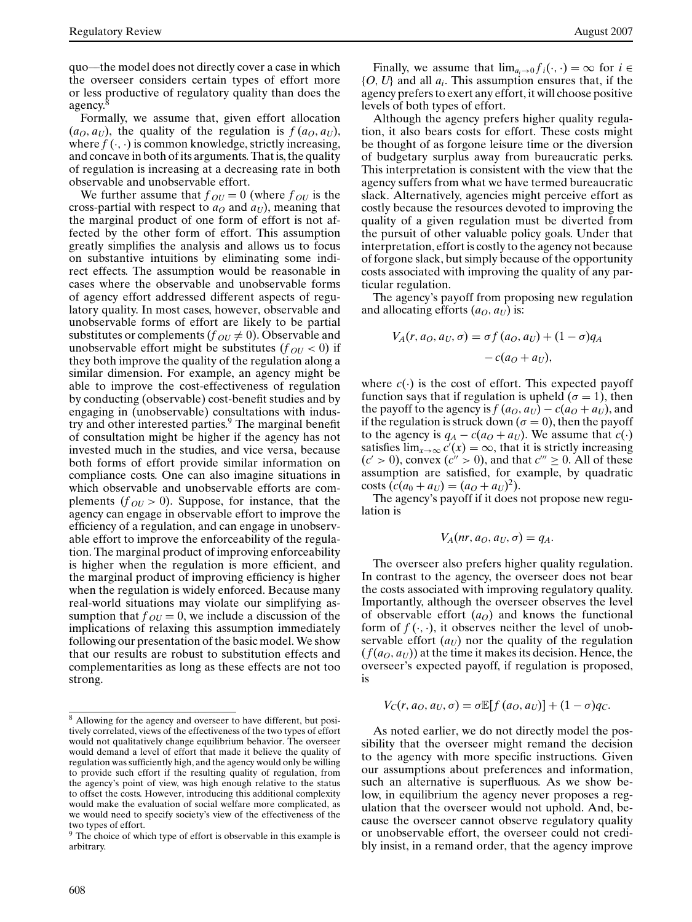quo—–the model does not directly cover a case in which the overseer considers certain types of effort more or less productive of regulatory quality than does the agency.

Formally, we assume that, given effort allocation  $(a<sub>O</sub>, a<sub>U</sub>)$ , the quality of the regulation is  $f(a<sub>O</sub>, a<sub>U</sub>)$ , where  $f(\cdot, \cdot)$  is common knowledge, strictly increasing, and concave in both of its arguments. That is, the quality of regulation is increasing at a decreasing rate in both observable and unobservable effort.

We further assume that  $f_{OU} = 0$  (where  $f_{OU}$  is the cross-partial with respect to  $a<sub>O</sub>$  and  $a<sub>U</sub>$ ), meaning that the marginal product of one form of effort is not affected by the other form of effort. This assumption greatly simplifies the analysis and allows us to focus on substantive intuitions by eliminating some indirect effects. The assumption would be reasonable in cases where the observable and unobservable forms of agency effort addressed different aspects of regulatory quality. In most cases, however, observable and unobservable forms of effort are likely to be partial substitutes or complements ( $f_{OU} \neq 0$ ). Observable and unobservable effort might be substitutes  $(f_{OU} < 0)$  if they both improve the quality of the regulation along a similar dimension. For example, an agency might be able to improve the cost-effectiveness of regulation by conducting (observable) cost-benefit studies and by engaging in (unobservable) consultations with industry and other interested parties.<sup>9</sup> The marginal benefit of consultation might be higher if the agency has not invested much in the studies, and vice versa, because both forms of effort provide similar information on compliance costs. One can also imagine situations in which observable and unobservable efforts are complements  $(f_{OU} > 0)$ . Suppose, for instance, that the agency can engage in observable effort to improve the efficiency of a regulation, and can engage in unobservable effort to improve the enforceability of the regulation. The marginal product of improving enforceability is higher when the regulation is more efficient, and the marginal product of improving efficiency is higher when the regulation is widely enforced. Because many real-world situations may violate our simplifying assumption that  $f_{OU} = 0$ , we include a discussion of the implications of relaxing this assumption immediately following our presentation of the basic model. We show that our results are robust to substitution effects and complementarities as long as these effects are not too strong.

Finally, we assume that  $\lim_{a_i \to 0} f_i(\cdot, \cdot) = \infty$  for  $i \in$ {*O, U*} and all *ai*. This assumption ensures that, if the agency prefers to exert any effort, it will choose positive levels of both types of effort.

Although the agency prefers higher quality regulation, it also bears costs for effort. These costs might be thought of as forgone leisure time or the diversion of budgetary surplus away from bureaucratic perks. This interpretation is consistent with the view that the agency suffers from what we have termed bureaucratic slack. Alternatively, agencies might perceive effort as costly because the resources devoted to improving the quality of a given regulation must be diverted from the pursuit of other valuable policy goals. Under that interpretation, effort is costly to the agency not because of forgone slack, but simply because of the opportunity costs associated with improving the quality of any particular regulation.

The agency's payoff from proposing new regulation and allocating efforts  $(a<sub>O</sub>, a<sub>U</sub>)$  is:

$$
V_A(r, a_O, a_U, \sigma) = \sigma f(a_O, a_U) + (1 - \sigma) q_A
$$

$$
-c(a_O + a_U),
$$

where  $c(\cdot)$  is the cost of effort. This expected payoff function says that if regulation is upheld ( $\sigma = 1$ ), then the payoff to the agency is  $f(a_O, a_U) - c(a_O + a_U)$ , and if the regulation is struck down ( $\sigma = 0$ ), then the payoff to the agency is  $q_A - c(a_O + a_U)$ . We assume that  $c(\cdot)$ satisfies  $\lim_{x\to\infty} c'(x) = \infty$ , that it is strictly increasing  $(c' > 0)$ , convex  $(c'' > 0)$ , and that  $c''' \ge 0$ . All of these assumption are satisfied, for example, by quadratic costs  $(c(a_0 + a_U) = (a_O + a_U)^2)$ .

The agency's payoff if it does not propose new regulation is

$$
V_A(nr, a_O, a_U, \sigma) = q_A.
$$

The overseer also prefers higher quality regulation. In contrast to the agency, the overseer does not bear the costs associated with improving regulatory quality. Importantly, although the overseer observes the level of observable effort  $(a<sub>O</sub>)$  and knows the functional form of  $f(\cdot, \cdot)$ , it observes neither the level of unobservable effort  $(a_U)$  nor the quality of the regulation  $(f(a<sub>O</sub>, a<sub>U</sub>))$  at the time it makes its decision. Hence, the overseer's expected payoff, if regulation is proposed, is

$$
V_C(r, a_O, a_U, \sigma) = \sigma \mathbb{E}[f(a_O, a_U)] + (1 - \sigma)q_C.
$$

As noted earlier, we do not directly model the possibility that the overseer might remand the decision to the agency with more specific instructions. Given our assumptions about preferences and information, such an alternative is superfluous. As we show below, in equilibrium the agency never proposes a regulation that the overseer would not uphold. And, because the overseer cannot observe regulatory quality or unobservable effort, the overseer could not credibly insist, in a remand order, that the agency improve

<sup>8</sup> Allowing for the agency and overseer to have different, but positively correlated, views of the effectiveness of the two types of effort would not qualitatively change equilibrium behavior. The overseer would demand a level of effort that made it believe the quality of regulation was sufficiently high, and the agency would only be willing to provide such effort if the resulting quality of regulation, from the agency's point of view, was high enough relative to the status to offset the costs. However, introducing this additional complexity would make the evaluation of social welfare more complicated, as we would need to specify society's view of the effectiveness of the two types of effort.

<sup>&</sup>lt;sup>9</sup> The choice of which type of effort is observable in this example is arbitrary.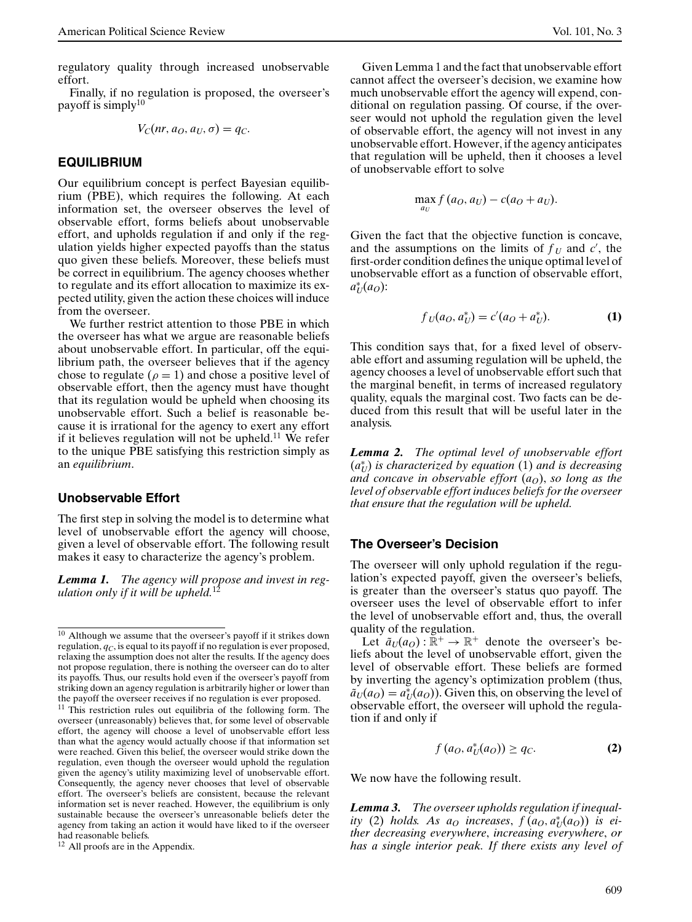regulatory quality through increased unobservable effort.

Finally, if no regulation is proposed, the overseer's payoff is simply $10$ 

$$
V_C(nr, a_O, a_U, \sigma) = q_C.
$$

#### **EQUILIBRIUM**

Our equilibrium concept is perfect Bayesian equilibrium (PBE), which requires the following. At each information set, the overseer observes the level of observable effort, forms beliefs about unobservable effort, and upholds regulation if and only if the regulation yields higher expected payoffs than the status quo given these beliefs. Moreover, these beliefs must be correct in equilibrium. The agency chooses whether to regulate and its effort allocation to maximize its expected utility, given the action these choices will induce from the overseer.

We further restrict attention to those PBE in which the overseer has what we argue are reasonable beliefs about unobservable effort. In particular, off the equilibrium path, the overseer believes that if the agency chose to regulate ( $\rho = 1$ ) and chose a positive level of observable effort, then the agency must have thought that its regulation would be upheld when choosing its unobservable effort. Such a belief is reasonable because it is irrational for the agency to exert any effort if it believes regulation will not be upheld.<sup>11</sup> We refer to the unique PBE satisfying this restriction simply as an *equilibrium*.

#### **Unobservable Effort**

The first step in solving the model is to determine what level of unobservable effort the agency will choose, given a level of observable effort. The following result makes it easy to characterize the agency's problem.

*Lemma 1. The agency will propose and invest in regulation only if it will be upheld.*<sup>12</sup>

<sup>12</sup> All proofs are in the Appendix.

Given Lemma 1 and the fact that unobservable effort cannot affect the overseer's decision, we examine how much unobservable effort the agency will expend, conditional on regulation passing. Of course, if the overseer would not uphold the regulation given the level of observable effort, the agency will not invest in any unobservable effort. However, if the agency anticipates that regulation will be upheld, then it chooses a level of unobservable effort to solve

$$
\max_{a_U} f(a_O, a_U) - c(a_O + a_U).
$$

Given the fact that the objective function is concave, and the assumptions on the limits of  $f<sub>U</sub>$  and  $c'$ , the first-order condition defines the unique optimal level of unobservable effort as a function of observable effort, *a*∗ *<sup>U</sup>*(*aO*):

$$
f_U(a_O, a_U^*) = c'(a_O + a_U^*).
$$
 (1)

This condition says that, for a fixed level of observable effort and assuming regulation will be upheld, the agency chooses a level of unobservable effort such that the marginal benefit, in terms of increased regulatory quality, equals the marginal cost. Two facts can be deduced from this result that will be useful later in the analysis.

*Lemma 2. The optimal level of unobservable effort* (*a*<sup>∗</sup> *<sup>U</sup>*) *is characterized by equation* (1) *and is decreasing* and concave in observable effort  $(a<sub>O</sub>)$ , so long as the *level of observable effort induces beliefs for the overseer that ensure that the regulation will be upheld.*

### **The Overseer's Decision**

The overseer will only uphold regulation if the regulation's expected payoff, given the overseer's beliefs, is greater than the overseer's status quo payoff. The overseer uses the level of observable effort to infer the level of unobservable effort and, thus, the overall quality of the regulation.

Let  $\tilde{a}_U(a_O): \mathbb{R}^+ \to \mathbb{R}^+$  denote the overseer's beliefs about the level of unobservable effort, given the level of observable effort. These beliefs are formed by inverting the agency's optimization problem (thus,  $\tilde{a}_U(a_O) = a_U^*(a_O)$ . Given this, on observing the level of observable effort, the overseer will uphold the regulation if and only if

$$
f\left(a_O, a_U^*(a_O)\right) \ge q_C. \tag{2}
$$

We now have the following result.

*Lemma 3. The overseer upholds regulation if inequality* (2) *holds.* As a<sub>O</sub> increases,  $f(a_O, a_U^*(a_O))$  *is either decreasing everywhere*, *increasing everywhere*, *or has a single interior peak. If there exists any level of*

 $\frac{10}{10}$  Although we assume that the overseer's payoff if it strikes down regulation, *qC*, is equal to its payoff if no regulation is ever proposed, relaxing the assumption does not alter the results. If the agency does not propose regulation, there is nothing the overseer can do to alter its payoffs. Thus, our results hold even if the overseer's payoff from striking down an agency regulation is arbitrarily higher or lower than the payoff the overseer receives if no regulation is ever proposed.

<sup>&</sup>lt;sup>11</sup> This restriction rules out equilibria of the following form. The overseer (unreasonably) believes that, for some level of observable effort, the agency will choose a level of unobservable effort less than what the agency would actually choose if that information set were reached. Given this belief, the overseer would strike down the regulation, even though the overseer would uphold the regulation given the agency's utility maximizing level of unobservable effort. Consequently, the agency never chooses that level of observable effort. The overseer's beliefs are consistent, because the relevant information set is never reached. However, the equilibrium is only sustainable because the overseer's unreasonable beliefs deter the agency from taking an action it would have liked to if the overseer had reasonable beliefs.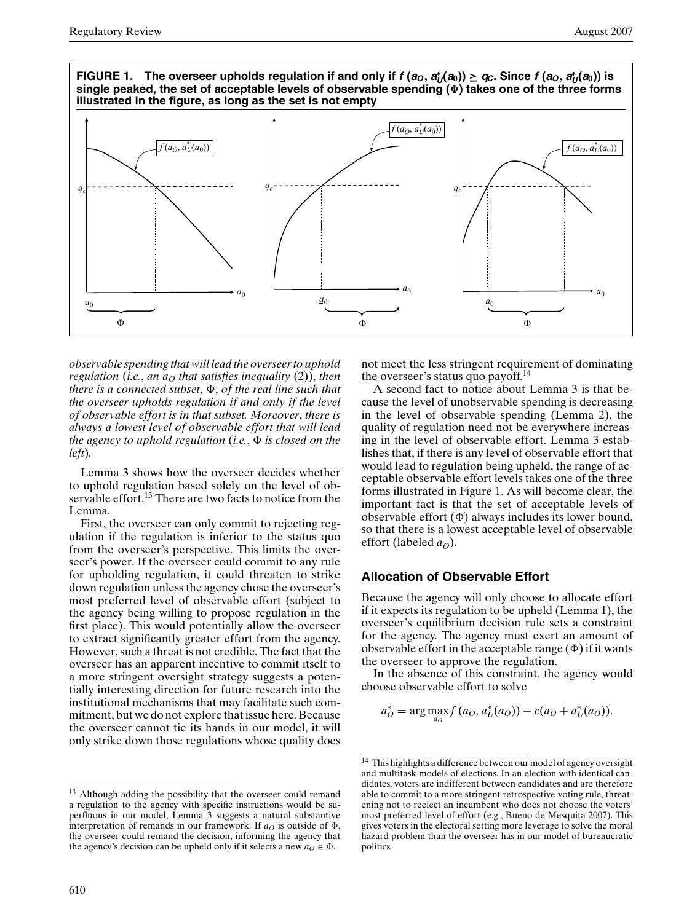

*observable spending that will lead the overseer to uphold regulation* (*i.e.*, *an*  $a<sub>O</sub>$  *that satisfies inequality* (2)), *then there is a connected subset,*  $\Phi$ *, of the real line such that the overseer upholds regulation if and only if the level of observable effort is in that subset. Moreover*, *there is always a lowest level of observable effort that will lead the agency to uphold regulation* (*i.e.*, *is closed on the left*)*.*

Lemma 3 shows how the overseer decides whether to uphold regulation based solely on the level of observable effort.<sup>13</sup> There are two facts to notice from the Lemma.

First, the overseer can only commit to rejecting regulation if the regulation is inferior to the status quo from the overseer's perspective. This limits the overseer's power. If the overseer could commit to any rule for upholding regulation, it could threaten to strike down regulation unless the agency chose the overseer's most preferred level of observable effort (subject to the agency being willing to propose regulation in the first place). This would potentially allow the overseer to extract significantly greater effort from the agency. However, such a threat is not credible. The fact that the overseer has an apparent incentive to commit itself to a more stringent oversight strategy suggests a potentially interesting direction for future research into the institutional mechanisms that may facilitate such commitment, but we do not explore that issue here. Because the overseer cannot tie its hands in our model, it will only strike down those regulations whose quality does not meet the less stringent requirement of dominating the overseer's status quo payoff.14

A second fact to notice about Lemma 3 is that because the level of unobservable spending is decreasing in the level of observable spending (Lemma 2), the quality of regulation need not be everywhere increasing in the level of observable effort. Lemma 3 establishes that, if there is any level of observable effort that would lead to regulation being upheld, the range of acceptable observable effort levels takes one of the three forms illustrated in Figure 1. As will become clear, the important fact is that the set of acceptable levels of observable effort  $(\Phi)$  always includes its lower bound, so that there is a lowest acceptable level of observable effort (labeled  $a<sub>O</sub>$ ).

# **Allocation of Observable Effort**

Because the agency will only choose to allocate effort if it expects its regulation to be upheld (Lemma 1), the overseer's equilibrium decision rule sets a constraint for the agency. The agency must exert an amount of observable effort in the acceptable range  $(\Phi)$  if it wants the overseer to approve the regulation.

In the absence of this constraint, the agency would choose observable effort to solve

$$
a_O^* = \arg \max_{a_O} f(a_O, a_U^*(a_O)) - c(a_O + a_U^*(a_O)).
$$

<sup>13</sup> Although adding the possibility that the overseer could remand a regulation to the agency with specific instructions would be superfluous in our model, Lemma 3 suggests a natural substantive interpretation of remands in our framework. If  $a<sub>O</sub>$  is outside of  $\Phi$ , the overseer could remand the decision, informing the agency that the agency's decision can be upheld only if it selects a new  $a_O \in \Phi$ .

<sup>14</sup> This highlights a difference between our model of agency oversight and multitask models of elections. In an election with identical candidates, voters are indifferent between candidates and are therefore able to commit to a more stringent retrospective voting rule, threatening not to reelect an incumbent who does not choose the voters' most preferred level of effort (e.g., Bueno de Mesquita 2007). This gives voters in the electoral setting more leverage to solve the moral hazard problem than the overseer has in our model of bureaucratic politics.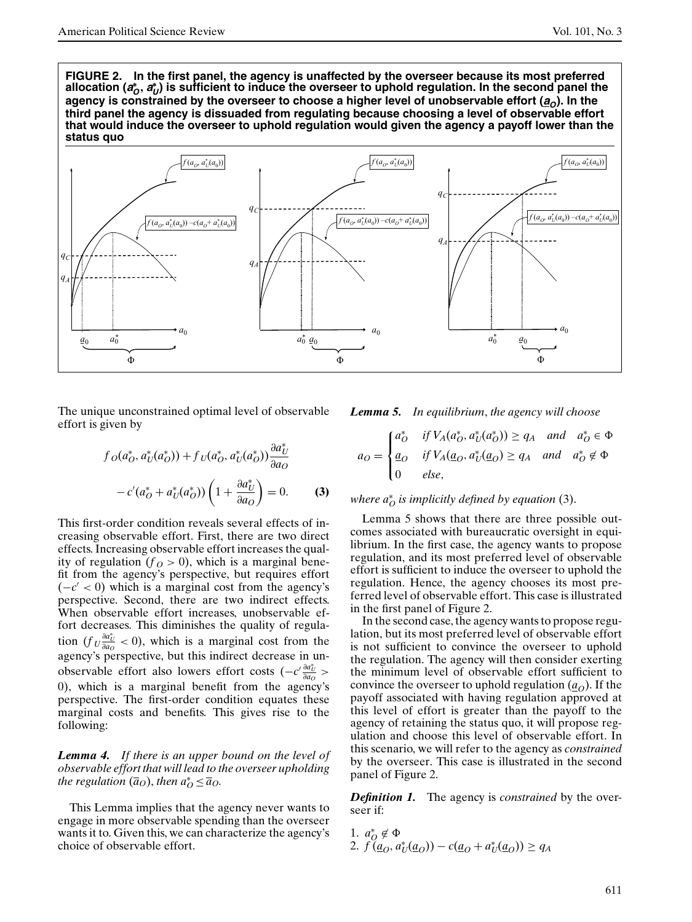**FIGURE 2. In the first panel, the agency is unaffected by the overseer because its most preferred allocation (a<sup>∗</sup> <sup>O</sup>***,* **<sup>a</sup><sup>∗</sup> <sup>U</sup>) is sufficient to induce the overseer to uphold regulation. In the second panel the agency is constrained by the overseer to choose a higher level of unobservable effort (** $a<sub>0</sub>$ **). In the third panel the agency is dissuaded from regulating because choosing a level of observable effort that would induce the overseer to uphold regulation would given the agency a payoff lower than the status quo**



The unique unconstrained optimal level of observable effort is given by

$$
f_O(a_O^*, a_U^*(a_O^*)) + f_U(a_O^*, a_U^*(a_O^*)) \frac{\partial a_U^*}{\partial a_O}
$$

$$
-c'(a_O^* + a_U^*(a_O^*)) \left(1 + \frac{\partial a_U^*}{\partial a_O}\right) = 0.
$$
 (3)

This first-order condition reveals several effects of increasing observable effort. First, there are two direct effects. Increasing observable effort increases the quality of regulation  $(f<sub>O</sub> > 0)$ , which is a marginal benefit from the agency's perspective, but requires effort  $(-c' < 0)$  which is a marginal cost from the agency's perspective. Second, there are two indirect effects. When observable effort increases, unobservable effort decreases. This diminishes the quality of regulation (*f*  $U \frac{\partial a^*_{U}}{\partial a_{O}} < 0$ ), which is a marginal cost from the agency's perspective, but this indirect decrease in unobservable effort also lowers effort costs ( $-c' \frac{\partial a_U^*}{\partial a_0}$  > 0), which is a marginal benefit from the agency's perspective. The first-order condition equates these marginal costs and benefits. This gives rise to the following:

*Lemma 4. If there is an upper bound on the level of observable effort that will lead to the overseer upholding the regulation*  $(\bar{a}_O)$ , *then*  $a_O^* \leq \bar{a}_O$ .

This Lemma implies that the agency never wants to engage in more observable spending than the overseer wants it to. Given this, we can characterize the agency's choice of observable effort.

*Lemma 5. In equilibrium*, *the agency will choose*

$$
a_O = \begin{cases} a_O^* & \text{if } V_A(a_O^*, a_U^*(a_O^*)) \ge q_A & \text{and} & a_O^* \in \Phi \\ \frac{a_O}{\log a} & \text{if } V_A(\underline{a}_O, a_U^*(\underline{a}_O) \ge q_A & \text{and} & a_O^* \notin \Phi \\ 0 & \text{else,} & \end{cases}
$$

# *where a<sup>∗</sup>*<sub>0</sub> *is implicitly defined by equation* (3).

Lemma 5 shows that there are three possible outcomes associated with bureaucratic oversight in equilibrium. In the first case, the agency wants to propose regulation, and its most preferred level of observable effort is sufficient to induce the overseer to uphold the regulation. Hence, the agency chooses its most preferred level of observable effort. This case is illustrated in the first panel of Figure 2.

In the second case, the agency wants to propose regulation, but its most preferred level of observable effort is not sufficient to convince the overseer to uphold the regulation. The agency will then consider exerting the minimum level of observable effort sufficient to convince the overseer to uphold regulation  $(\underline{a}_O)$ . If the payoff associated with having regulation approved at this level of effort is greater than the payoff to the agency of retaining the status quo, it will propose regulation and choose this level of observable effort. In this scenario, we will refer to the agency as *constrained* by the overseer. This case is illustrated in the second panel of Figure 2.

*Definition 1.* The agency is *constrained* by the overseer if:

1. 
$$
a_O^* \notin \Phi
$$
  
2.  $f(\underline{a_O}, a_U^*(\underline{a_O})) - c(\underline{a_O} + a_U^*(\underline{a_O})) \ge q_A$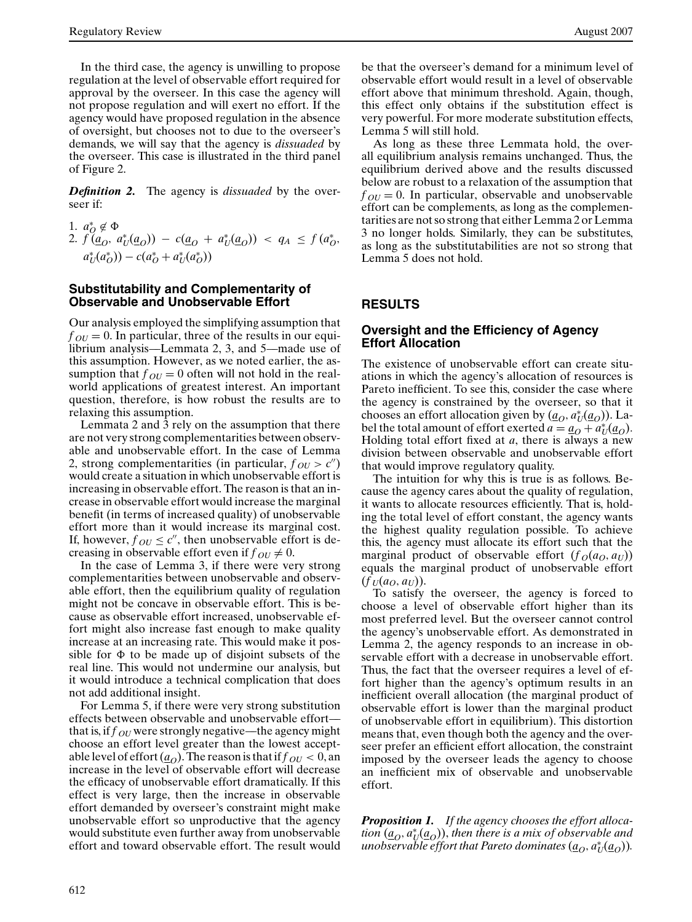In the third case, the agency is unwilling to propose regulation at the level of observable effort required for approval by the overseer. In this case the agency will not propose regulation and will exert no effort. If the agency would have proposed regulation in the absence of oversight, but chooses not to due to the overseer's demands, we will say that the agency is *dissuaded* by the overseer. This case is illustrated in the third panel of Figure 2.

*Definition 2.* The agency is *dissuaded* by the overseer if:

1. 
$$
a_0^* \notin \Phi
$$
  
\n2.  $f(\underline{a}_O, a_U^*(\underline{a}_O)) - c(\underline{a}_O + a_U^*(\underline{a}_O)) < q_A \le f(a_O^*, a_U^*(a_O^*)) - c(a_O^* + a_U^*(a_O^*))$ 

# **Substitutability and Complementarity of Observable and Unobservable Effort**

Our analysis employed the simplifying assumption that  $f_{OU} = 0$ . In particular, three of the results in our equilibrium analysis—–Lemmata 2, 3, and 5—–made use of this assumption. However, as we noted earlier, the assumption that  $f_{OU} = 0$  often will not hold in the realworld applications of greatest interest. An important question, therefore, is how robust the results are to relaxing this assumption.

Lemmata 2 and 3 rely on the assumption that there are not very strong complementarities between observable and unobservable effort. In the case of Lemma 2, strong complementarities (in particular,  $f_{OU} > c''$ ) would create a situation in which unobservable effort is increasing in observable effort. The reason is that an increase in observable effort would increase the marginal benefit (in terms of increased quality) of unobservable effort more than it would increase its marginal cost. If, however,  $f_{OU} \leq c''$ , then unobservable effort is decreasing in observable effort even if  $f_{OU} \neq 0$ .

In the case of Lemma 3, if there were very strong complementarities between unobservable and observable effort, then the equilibrium quality of regulation might not be concave in observable effort. This is because as observable effort increased, unobservable effort might also increase fast enough to make quality increase at an increasing rate. This would make it possible for  $\Phi$  to be made up of disjoint subsets of the real line. This would not undermine our analysis, but it would introduce a technical complication that does not add additional insight.

For Lemma 5, if there were very strong substitution effects between observable and unobservable effort—– that is, if *f OU* were strongly negative—–the agency might choose an effort level greater than the lowest acceptable level of effort  $(\underline{a}_0)$ . The reason is that if  $f_{OU} < 0$ , an increase in the level of observable effort will decrease the efficacy of unobservable effort dramatically. If this effect is very large, then the increase in observable effort demanded by overseer's constraint might make unobservable effort so unproductive that the agency would substitute even further away from unobservable effort and toward observable effort. The result would be that the overseer's demand for a minimum level of observable effort would result in a level of observable effort above that minimum threshold. Again, though, this effect only obtains if the substitution effect is very powerful. For more moderate substitution effects, Lemma 5 will still hold.

As long as these three Lemmata hold, the overall equilibrium analysis remains unchanged. Thus, the equilibrium derived above and the results discussed below are robust to a relaxation of the assumption that  $f_{OU} = 0$ . In particular, observable and unobservable effort can be complements, as long as the complementarities are not so strong that either Lemma 2 or Lemma 3 no longer holds. Similarly, they can be substitutes, as long as the substitutabilities are not so strong that Lemma 5 does not hold.

# **RESULTS**

# **Oversight and the Efficiency of Agency Effort Allocation**

The existence of unobservable effort can create situations in which the agency's allocation of resources is Pareto inefficient. To see this, consider the case where the agency is constrained by the overseer, so that it chooses an effort allocation given by  $(\underline{a}_O, a_U^*(\underline{a}_O))$ . Label the total amount of effort exerted  $\vec{a} = \vec{a}_0 + \vec{a}_U^*(\vec{a}_0)$ . Holding total effort fixed at *a*, there is always a new division between observable and unobservable effort that would improve regulatory quality.

The intuition for why this is true is as follows. Because the agency cares about the quality of regulation, it wants to allocate resources efficiently. That is, holding the total level of effort constant, the agency wants the highest quality regulation possible. To achieve this, the agency must allocate its effort such that the marginal product of observable effort  $(f_O(a_O, a_U))$ equals the marginal product of unobservable effort  $(f_U(a_O, a_U)).$ 

To satisfy the overseer, the agency is forced to choose a level of observable effort higher than its most preferred level. But the overseer cannot control the agency's unobservable effort. As demonstrated in Lemma 2, the agency responds to an increase in observable effort with a decrease in unobservable effort. Thus, the fact that the overseer requires a level of effort higher than the agency's optimum results in an inefficient overall allocation (the marginal product of observable effort is lower than the marginal product of unobservable effort in equilibrium). This distortion means that, even though both the agency and the overseer prefer an efficient effort allocation, the constraint imposed by the overseer leads the agency to choose an inefficient mix of observable and unobservable effort.

*Proposition 1. If the agency chooses the effort alloca-* $\mathcal{L}(\underline{a}_O, a^*_U(\underline{a}_O))$ , then there is a mix of observable and  $u$ *nobservable effort that Pareto dominates* ( $\underline{a}_O$ ,  $a_U^*(\underline{a}_O)$ ).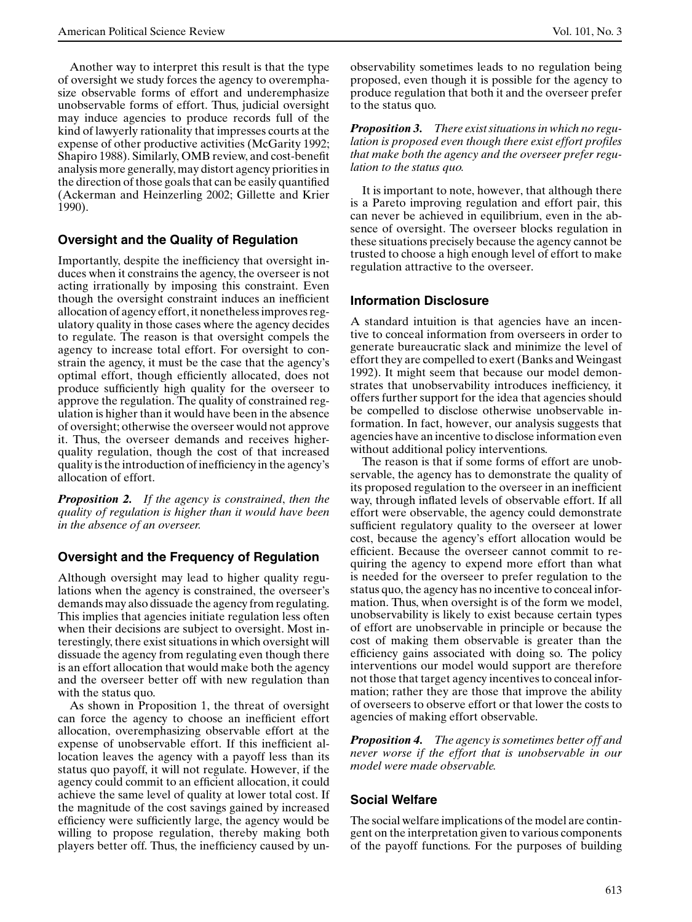Another way to interpret this result is that the type of oversight we study forces the agency to overemphasize observable forms of effort and underemphasize unobservable forms of effort. Thus, judicial oversight may induce agencies to produce records full of the kind of lawyerly rationality that impresses courts at the expense of other productive activities (McGarity 1992; Shapiro 1988). Similarly, OMB review, and cost-benefit analysis more generally, may distort agency priorities in the direction of those goals that can be easily quantified (Ackerman and Heinzerling 2002; Gillette and Krier 1990).

# **Oversight and the Quality of Regulation**

Importantly, despite the inefficiency that oversight induces when it constrains the agency, the overseer is not acting irrationally by imposing this constraint. Even though the oversight constraint induces an inefficient allocation of agency effort, it nonetheless improves regulatory quality in those cases where the agency decides to regulate. The reason is that oversight compels the agency to increase total effort. For oversight to constrain the agency, it must be the case that the agency's optimal effort, though efficiently allocated, does not produce sufficiently high quality for the overseer to approve the regulation. The quality of constrained regulation is higher than it would have been in the absence of oversight; otherwise the overseer would not approve it. Thus, the overseer demands and receives higherquality regulation, though the cost of that increased quality is the introduction of inefficiency in the agency's allocation of effort.

*Proposition 2. If the agency is constrained*, *then the quality of regulation is higher than it would have been in the absence of an overseer.*

# **Oversight and the Frequency of Regulation**

Although oversight may lead to higher quality regulations when the agency is constrained, the overseer's demands may also dissuade the agency from regulating. This implies that agencies initiate regulation less often when their decisions are subject to oversight. Most interestingly, there exist situations in which oversight will dissuade the agency from regulating even though there is an effort allocation that would make both the agency and the overseer better off with new regulation than with the status quo.

As shown in Proposition 1, the threat of oversight can force the agency to choose an inefficient effort allocation, overemphasizing observable effort at the expense of unobservable effort. If this inefficient allocation leaves the agency with a payoff less than its status quo payoff, it will not regulate. However, if the agency could commit to an efficient allocation, it could achieve the same level of quality at lower total cost. If the magnitude of the cost savings gained by increased efficiency were sufficiently large, the agency would be willing to propose regulation, thereby making both players better off. Thus, the inefficiency caused by unobservability sometimes leads to no regulation being proposed, even though it is possible for the agency to produce regulation that both it and the overseer prefer to the status quo.

*Proposition 3. There exist situations in which no regulation is proposed even though there exist effort profiles that make both the agency and the overseer prefer regulation to the status quo.*

It is important to note, however, that although there is a Pareto improving regulation and effort pair, this can never be achieved in equilibrium, even in the absence of oversight. The overseer blocks regulation in these situations precisely because the agency cannot be trusted to choose a high enough level of effort to make regulation attractive to the overseer.

# **Information Disclosure**

A standard intuition is that agencies have an incentive to conceal information from overseers in order to generate bureaucratic slack and minimize the level of effort they are compelled to exert (Banks and Weingast 1992). It might seem that because our model demonstrates that unobservability introduces inefficiency, it offers further support for the idea that agencies should be compelled to disclose otherwise unobservable information. In fact, however, our analysis suggests that agencies have an incentive to disclose information even without additional policy interventions.

The reason is that if some forms of effort are unobservable, the agency has to demonstrate the quality of its proposed regulation to the overseer in an inefficient way, through inflated levels of observable effort. If all effort were observable, the agency could demonstrate sufficient regulatory quality to the overseer at lower cost, because the agency's effort allocation would be efficient. Because the overseer cannot commit to requiring the agency to expend more effort than what is needed for the overseer to prefer regulation to the status quo, the agency has no incentive to conceal information. Thus, when oversight is of the form we model, unobservability is likely to exist because certain types of effort are unobservable in principle or because the cost of making them observable is greater than the efficiency gains associated with doing so. The policy interventions our model would support are therefore not those that target agency incentives to conceal information; rather they are those that improve the ability of overseers to observe effort or that lower the costs to agencies of making effort observable.

*Proposition 4. The agency is sometimes better off and never worse if the effort that is unobservable in our model were made observable.*

# **Social Welfare**

The social welfare implications of the model are contingent on the interpretation given to various components of the payoff functions. For the purposes of building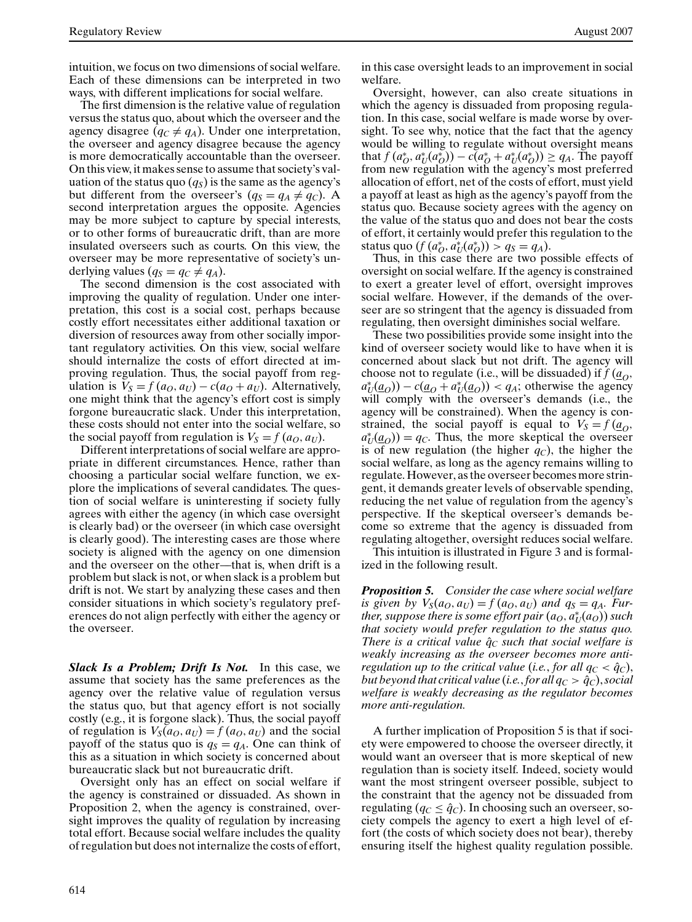intuition, we focus on two dimensions of social welfare. Each of these dimensions can be interpreted in two ways, with different implications for social welfare.

The first dimension is the relative value of regulation versus the status quo, about which the overseer and the agency disagree ( $q_C \neq q_A$ ). Under one interpretation, the overseer and agency disagree because the agency is more democratically accountable than the overseer. On this view, it makes sense to assume that society's valuation of the status quo  $(q<sub>S</sub>)$  is the same as the agency's but different from the overseer's  $(q_S = q_A \neq q_C)$ . A second interpretation argues the opposite. Agencies may be more subject to capture by special interests, or to other forms of bureaucratic drift, than are more insulated overseers such as courts. On this view, the overseer may be more representative of society's underlying values  $(q_S = q_C \neq q_A)$ .

The second dimension is the cost associated with improving the quality of regulation. Under one interpretation, this cost is a social cost, perhaps because costly effort necessitates either additional taxation or diversion of resources away from other socially important regulatory activities. On this view, social welfare should internalize the costs of effort directed at improving regulation. Thus, the social payoff from regulation is  $V_S = f(a_O, a_U) - c(a_O + a_U)$ . Alternatively, one might think that the agency's effort cost is simply forgone bureaucratic slack. Under this interpretation, these costs should not enter into the social welfare, so the social payoff from regulation is  $V_s = f(a_O, a_U)$ .

Different interpretations of social welfare are appropriate in different circumstances. Hence, rather than choosing a particular social welfare function, we explore the implications of several candidates. The question of social welfare is uninteresting if society fully agrees with either the agency (in which case oversight is clearly bad) or the overseer (in which case oversight is clearly good). The interesting cases are those where society is aligned with the agency on one dimension and the overseer on the other—that is, when drift is a problem but slack is not, or when slack is a problem but drift is not. We start by analyzing these cases and then consider situations in which society's regulatory preferences do not align perfectly with either the agency or the overseer.

*Slack Is a Problem; Drift Is Not.* In this case, we assume that society has the same preferences as the agency over the relative value of regulation versus the status quo, but that agency effort is not socially costly (e.g., it is forgone slack). Thus, the social payoff of regulation is  $V_S(a_O, a_U) = f(a_O, a_U)$  and the social payoff of the status quo is  $q_S = q_A$ . One can think of this as a situation in which society is concerned about bureaucratic slack but not bureaucratic drift.

Oversight only has an effect on social welfare if the agency is constrained or dissuaded. As shown in Proposition 2, when the agency is constrained, oversight improves the quality of regulation by increasing total effort. Because social welfare includes the quality of regulation but does not internalize the costs of effort, in this case oversight leads to an improvement in social welfare.

Oversight, however, can also create situations in which the agency is dissuaded from proposing regulation. In this case, social welfare is made worse by oversight. To see why, notice that the fact that the agency would be willing to regulate without oversight means that  $f(a_0^*, a_U^*(a_0^*)) - c(a_O^* + a_U^*(a_0^*)) \ge q_A$ . The payoff from new regulation with the agency's most preferred allocation of effort, net of the costs of effort, must yield a payoff at least as high as the agency's payoff from the status quo. Because society agrees with the agency on the value of the status quo and does not bear the costs of effort, it certainly would prefer this regulation to the status quo  $(f(a_0^*, a_U^*(a_0^*)) > q_S = q_A)$ .

Thus, in this case there are two possible effects of oversight on social welfare. If the agency is constrained to exert a greater level of effort, oversight improves social welfare. However, if the demands of the overseer are so stringent that the agency is dissuaded from regulating, then oversight diminishes social welfare.

These two possibilities provide some insight into the kind of overseer society would like to have when it is concerned about slack but not drift. The agency will choose not to regulate (i.e., will be dissuaded) if  $f(a_0, a_0)$  $a_U^*(\underline{a}_O)$ ) –  $c(\underline{a}_O + a_U^*(\underline{a}_O)) < q_A$ ; otherwise the agency will comply with the overseer's demands (i.e., the agency will be constrained). When the agency is constrained, the social payoff is equal to  $V_s = f(a_0, a_1)$  $a^*_{U}(\underline{a}_O)$  = *q<sub>C</sub>*. Thus, the more skeptical the overseer is of new regulation (the higher  $q_c$ ), the higher the social welfare, as long as the agency remains willing to regulate. However, as the overseer becomes more stringent, it demands greater levels of observable spending, reducing the net value of regulation from the agency's perspective. If the skeptical overseer's demands become so extreme that the agency is dissuaded from regulating altogether, oversight reduces social welfare.

This intuition is illustrated in Figure 3 and is formalized in the following result.

*Proposition 5. Consider the case where social welfare is given by*  $V_S(a_O, a_U) = f(a_O, a_U)$  *and*  $q_S = q_A$ . *Further, suppose there is some effort pair*  $(a_O, a_U^*(a_O))$  *such that society would prefer regulation to the status quo. There is a critical value*  $\hat{q}_C$  *such that social welfare is weakly increasing as the overseer becomes more antiregulation up to the critical value (i.e., for all*  $q_C < \hat{q}_C$ *), but beyond that critical value* (*i.e., for all*  $q_C > \hat{q}_C$ ), *social welfare is weakly decreasing as the regulator becomes more anti-regulation.*

A further implication of Proposition 5 is that if society were empowered to choose the overseer directly, it would want an overseer that is more skeptical of new regulation than is society itself. Indeed, society would want the most stringent overseer possible, subject to the constraint that the agency not be dissuaded from regulating ( $q_C \leq \hat{q}_C$ ). In choosing such an overseer, society compels the agency to exert a high level of effort (the costs of which society does not bear), thereby ensuring itself the highest quality regulation possible.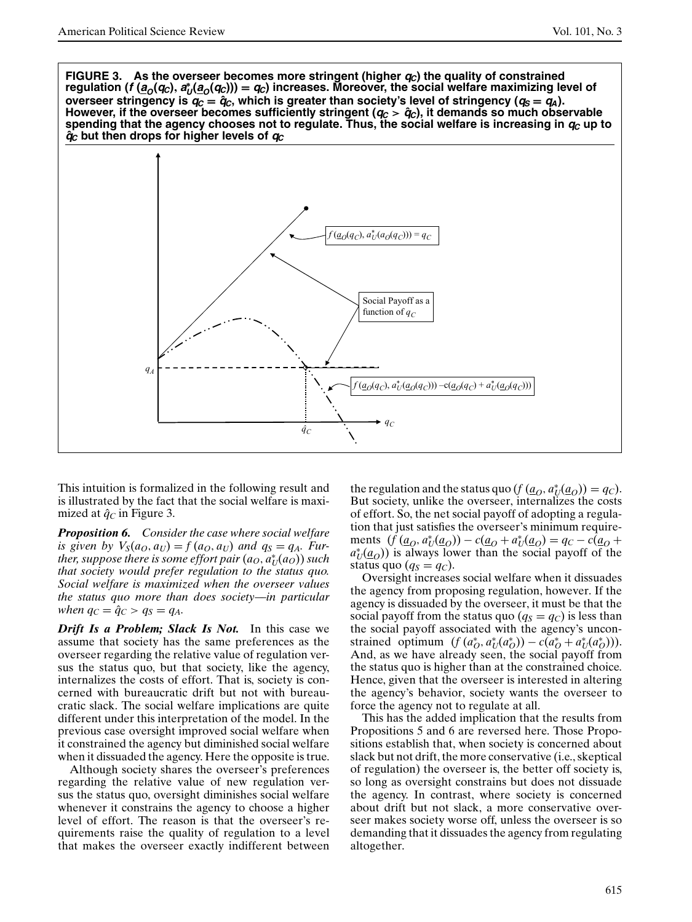**FIGURE 3. As the overseer becomes more stringent (higher qC) the quality of constrained** regulation (f (a<sub>0</sub>(q<sub>c</sub>), a $^*_U$ (a<sub>0</sub>(q<sub>c</sub>))) = q<sub>c</sub>) increases. Moreover, the social welfare maximizing level of **overseer stringency is**  $q_c = \hat{q}_c$ **, which is greater than society's level of stringency**  $(q_s = q_A)$ **.** However, if the overseer becomes sufficiently stringent  $(q_c > \hat{q}_c)$ , it demands so much observable **spending that the agency chooses not to regulate. Thus, the social welfare is increasing in q<sup>C</sup> up to**  $\hat{q}_c$  but then drops for higher levels of  $q_c$ 



This intuition is formalized in the following result and is illustrated by the fact that the social welfare is maximized at  $\hat{q}_C$  in Figure 3.

*Proposition 6. Consider the case where social welfare is given by*  $V_S(a_O, a_U) = f(a_O, a_U)$  *and*  $q_S = q_A$ . *Further, suppose there is some effort pair*  $(a_O, a_U^*(a_O))$  *such that society would prefer regulation to the status quo. Social welfare is maximized when the overseer values the status quo more than does society—–in particular when*  $q_C = \hat{q}_C > q_S = q_A$ .

*Drift Is a Problem; Slack Is Not.* In this case we assume that society has the same preferences as the overseer regarding the relative value of regulation versus the status quo, but that society, like the agency, internalizes the costs of effort. That is, society is concerned with bureaucratic drift but not with bureaucratic slack. The social welfare implications are quite different under this interpretation of the model. In the previous case oversight improved social welfare when it constrained the agency but diminished social welfare when it dissuaded the agency. Here the opposite is true.

Although society shares the overseer's preferences regarding the relative value of new regulation versus the status quo, oversight diminishes social welfare whenever it constrains the agency to choose a higher level of effort. The reason is that the overseer's requirements raise the quality of regulation to a level that makes the overseer exactly indifferent between

the regulation and the status quo  $(f(\underline{a}_O, a_U^*(\underline{a}_O)) = q_C)$ . But society, unlike the overseer, internalizes the costs of effort. So, the net social payoff of adopting a regulation that just satisfies the overseer's minimum require $m$ ents  $(f(\underline{a}_O, a_U^*(\underline{a}_O)) - c(\underline{a}_O + a_U^*(\underline{a}_O)) = q_C - c(\underline{a}_O + \underline{a}_O)$  $a_U^*(\underline{a}_O)$ ) is always lower than the social payoff of the status quo  $(q_S = q_C)$ .

Oversight increases social welfare when it dissuades the agency from proposing regulation, however. If the agency is dissuaded by the overseer, it must be that the social payoff from the status quo  $(q_S = q_C)$  is less than the social payoff associated with the agency's unconstrained optimum  $(f(a_O^*, a_U^*(a_O^*)) - c(a_O^* + a_U^*(a_O^*)))$ . And, as we have already seen, the social payoff from the status quo is higher than at the constrained choice. Hence, given that the overseer is interested in altering the agency's behavior, society wants the overseer to force the agency not to regulate at all.

This has the added implication that the results from Propositions 5 and 6 are reversed here. Those Propositions establish that, when society is concerned about slack but not drift, the more conservative (i.e., skeptical of regulation) the overseer is, the better off society is, so long as oversight constrains but does not dissuade the agency. In contrast, where society is concerned about drift but not slack, a more conservative overseer makes society worse off, unless the overseer is so demanding that it dissuades the agency from regulating altogether.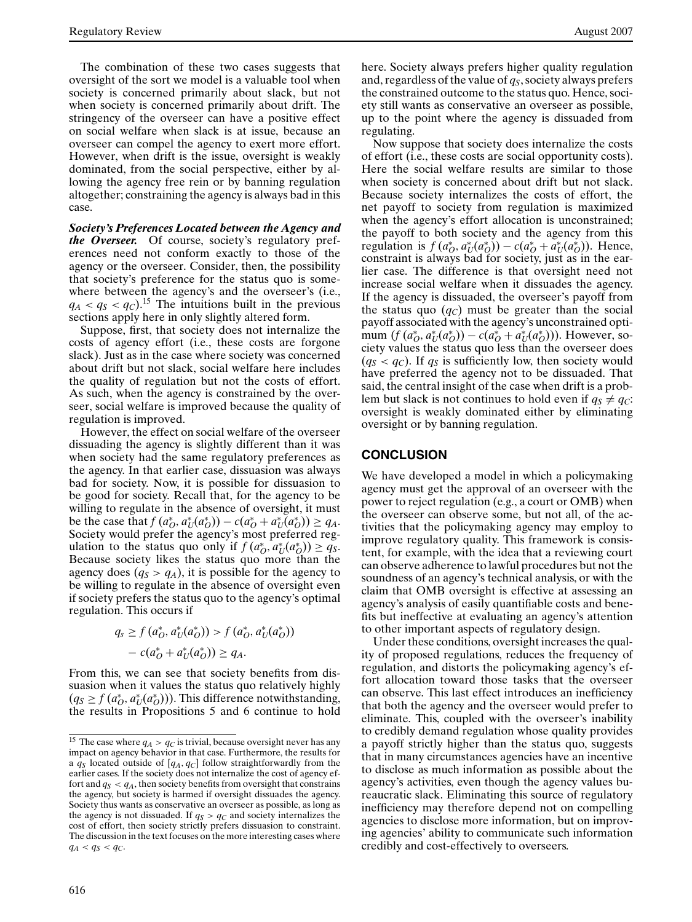The combination of these two cases suggests that oversight of the sort we model is a valuable tool when society is concerned primarily about slack, but not when society is concerned primarily about drift. The stringency of the overseer can have a positive effect on social welfare when slack is at issue, because an overseer can compel the agency to exert more effort. However, when drift is the issue, oversight is weakly dominated, from the social perspective, either by allowing the agency free rein or by banning regulation altogether; constraining the agency is always bad in this case.

*Society's Preferences Located between the Agency and the Overseer.* Of course, society's regulatory preferences need not conform exactly to those of the agency or the overseer. Consider, then, the possibility that society's preference for the status quo is somewhere between the agency's and the overseer's (i.e.,  $q_A < q_S < q_C$ ).<sup>15</sup> The intuitions built in the previous sections apply here in only slightly altered form.

Suppose, first, that society does not internalize the costs of agency effort (i.e., these costs are forgone slack). Just as in the case where society was concerned about drift but not slack, social welfare here includes the quality of regulation but not the costs of effort. As such, when the agency is constrained by the overseer, social welfare is improved because the quality of regulation is improved.

However, the effect on social welfare of the overseer dissuading the agency is slightly different than it was when society had the same regulatory preferences as the agency. In that earlier case, dissuasion was always bad for society. Now, it is possible for dissuasion to be good for society. Recall that, for the agency to be willing to regulate in the absence of oversight, it must be the case that  $f(a_0^*, a_U^*(a_0^*)) - c(a_0^* + a_U^*(a_0^*)) \ge q_A$ . Society would prefer the agency's most preferred regulation to the status quo only if  $f(a_0^*, a_U^*(a_0^*)) \geq q_s$ . Because society likes the status quo more than the agency does  $(q_S > q_A)$ , it is possible for the agency to be willing to regulate in the absence of oversight even if society prefers the status quo to the agency's optimal regulation. This occurs if

$$
q_s \ge f(a_O^*, a_U^*(a_O^*)) > f(a_O^*, a_U^*(a_O^*))
$$
  
-  $c(a_O^* + a_U^*(a_O^*)) \ge q_A$ .

From this, we can see that society benefits from dissuasion when it values the status quo relatively highly  $(q_S \geq f(a_O^*, a_U^*(a_O^*)))$ . This difference notwithstanding, the results in Propositions 5 and 6 continue to hold here. Society always prefers higher quality regulation and, regardless of the value of *q<sub>S</sub>*, society always prefers the constrained outcome to the status quo. Hence, society still wants as conservative an overseer as possible, up to the point where the agency is dissuaded from regulating.

Now suppose that society does internalize the costs of effort (i.e., these costs are social opportunity costs). Here the social welfare results are similar to those when society is concerned about drift but not slack. Because society internalizes the costs of effort, the net payoff to society from regulation is maximized when the agency's effort allocation is unconstrained; the payoff to both society and the agency from this regulation is  $f(a_0^*, a_U^*(a_0^*)) - c(a_0^* + a_U^*(a_0^*))$ . Hence, constraint is always bad for society, just as in the earlier case. The difference is that oversight need not increase social welfare when it dissuades the agency. If the agency is dissuaded, the overseer's payoff from the status quo  $(q_c)$  must be greater than the social payoff associated with the agency's unconstrained optimum  $(f(a_0^*, a_U^*(a_0^*)) - c(a_0^* + a_U^*(a_0^*)))$ . However, society values the status quo less than the overseer does  $(q_S < q_C)$ . If  $q_S$  is sufficiently low, then society would have preferred the agency not to be dissuaded. That said, the central insight of the case when drift is a problem but slack is not continues to hold even if  $q_s \neq q_c$ : oversight is weakly dominated either by eliminating oversight or by banning regulation.

# **CONCLUSION**

We have developed a model in which a policymaking agency must get the approval of an overseer with the power to reject regulation (e.g., a court or OMB) when the overseer can observe some, but not all, of the activities that the policymaking agency may employ to improve regulatory quality. This framework is consistent, for example, with the idea that a reviewing court can observe adherence to lawful procedures but not the soundness of an agency's technical analysis, or with the claim that OMB oversight is effective at assessing an agency's analysis of easily quantifiable costs and benefits but ineffective at evaluating an agency's attention to other important aspects of regulatory design.

Under these conditions, oversight increases the quality of proposed regulations, reduces the frequency of regulation, and distorts the policymaking agency's effort allocation toward those tasks that the overseer can observe. This last effect introduces an inefficiency that both the agency and the overseer would prefer to eliminate. This, coupled with the overseer's inability to credibly demand regulation whose quality provides a payoff strictly higher than the status quo, suggests that in many circumstances agencies have an incentive to disclose as much information as possible about the agency's activities, even though the agency values bureaucratic slack. Eliminating this source of regulatory inefficiency may therefore depend not on compelling agencies to disclose more information, but on improving agencies' ability to communicate such information credibly and cost-effectively to overseers.

<sup>&</sup>lt;sup>15</sup> The case where  $q_A > q_C$  is trivial, because oversight never has any impact on agency behavior in that case. Furthermore, the results for a *qS* located outside of [*qA, qC*] follow straightforwardly from the earlier cases. If the society does not internalize the cost of agency effort and  $q_S < q_A$ , then society benefits from oversight that constrains the agency, but society is harmed if oversight dissuades the agency. Society thus wants as conservative an overseer as possible, as long as the agency is not dissuaded. If  $q_S > q_C$  and society internalizes the cost of effort, then society strictly prefers dissuasion to constraint. The discussion in the text focuses on the more interesting cases where  $q_A < q_S < q_C$ .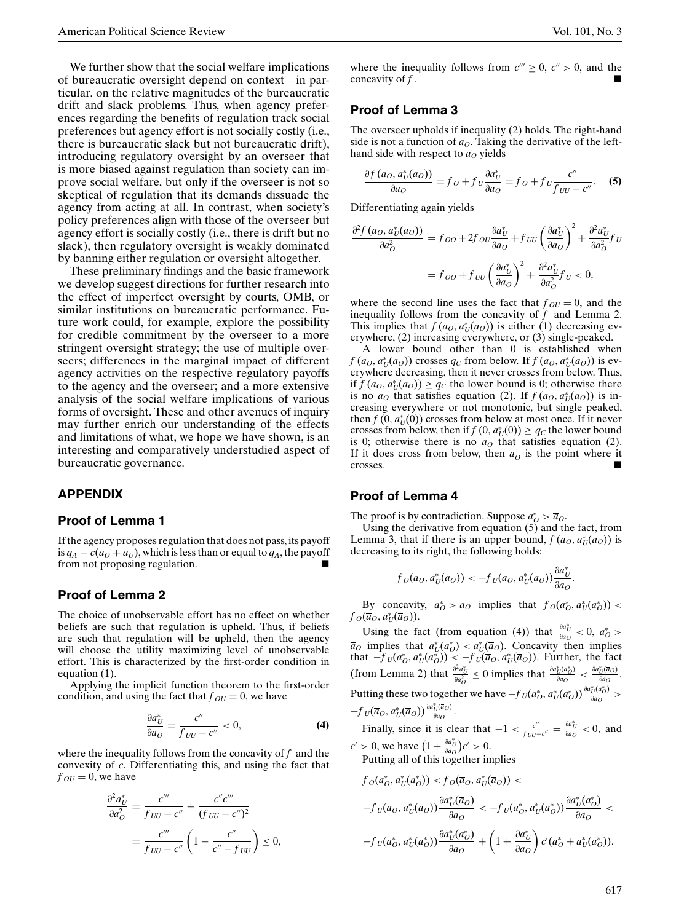We further show that the social welfare implications of bureaucratic oversight depend on context—–in particular, on the relative magnitudes of the bureaucratic drift and slack problems. Thus, when agency preferences regarding the benefits of regulation track social preferences but agency effort is not socially costly (i.e., there is bureaucratic slack but not bureaucratic drift), introducing regulatory oversight by an overseer that is more biased against regulation than society can improve social welfare, but only if the overseer is not so skeptical of regulation that its demands dissuade the agency from acting at all. In contrast, when society's policy preferences align with those of the overseer but agency effort is socially costly (i.e., there is drift but no slack), then regulatory oversight is weakly dominated by banning either regulation or oversight altogether.

These preliminary findings and the basic framework we develop suggest directions for further research into the effect of imperfect oversight by courts, OMB, or similar institutions on bureaucratic performance. Future work could, for example, explore the possibility for credible commitment by the overseer to a more stringent oversight strategy; the use of multiple overseers; differences in the marginal impact of different agency activities on the respective regulatory payoffs to the agency and the overseer; and a more extensive analysis of the social welfare implications of various forms of oversight. These and other avenues of inquiry may further enrich our understanding of the effects and limitations of what, we hope we have shown, is an interesting and comparatively understudied aspect of bureaucratic governance.

### **APPENDIX**

#### **Proof of Lemma 1**

If the agency proposes regulation that does not pass, its payoff is  $q_A - c(a_O + a_U)$ , which is less than or equal to  $q_A$ , the payoff from not proposing regulation.

### **Proof of Lemma 2**

The choice of unobservable effort has no effect on whether beliefs are such that regulation is upheld. Thus, if beliefs are such that regulation will be upheld, then the agency will choose the utility maximizing level of unobservable effort. This is characterized by the first-order condition in equation (1).

Applying the implicit function theorem to the first-order condition, and using the fact that  $f_{OU} = 0$ , we have

$$
\frac{\partial a_U^*}{\partial a_O} = \frac{c''}{f_{UU} - c''} < 0,\tag{4}
$$

where the inequality follows from the concavity of *f* and the convexity of *c*. Differentiating this, and using the fact that  $f_{OU} = 0$ , we have

$$
\frac{\partial^2 a_U^*}{\partial a_O^2} = \frac{c'''}{f_{UU} - c''} + \frac{c''c'''}{(f_{UU} - c'')^2}
$$

$$
= \frac{c'''}{f_{UU} - c''} \left(1 - \frac{c''}{c'' - f_{UU}}\right) \le 0,
$$

where the inequality follows from  $c''' \geq 0$ ,  $c'' > 0$ , and the concavity of *f* .

#### **Proof of Lemma 3**

The overseer upholds if inequality (2) holds. The right-hand side is not a function of  $a<sub>O</sub>$ . Taking the derivative of the lefthand side with respect to  $a<sub>O</sub>$  yields

$$
\frac{\partial f(a_O, a_U^*(a_O))}{\partial a_O} = f_O + f_U \frac{\partial a_U^*}{\partial a_O} = f_O + f_U \frac{c''}{f_{UU} - c''}. \quad (5)
$$

Differentiating again yields

$$
\frac{\partial^2 f(a_O, a_U^*(a_O))}{\partial a_O^2} = f_{OO} + 2f_{OU} \frac{\partial a_U^*}{\partial a_O} + f_{UU} \left(\frac{\partial a_U^*}{\partial a_O}\right)^2 + \frac{\partial^2 a_U^*}{\partial a_O^2} f_U
$$

$$
= f_{OO} + f_{UU} \left(\frac{\partial a_U^*}{\partial a_O}\right)^2 + \frac{\partial^2 a_U^*}{\partial a_O^2} f_U < 0,
$$

where the second line uses the fact that  $f_{OU} = 0$ , and the inequality follows from the concavity of *f* and Lemma 2. This implies that  $f(a_O, a_U^*(a_O))$  is either (1) decreasing everywhere, (2) increasing everywhere, or (3) single-peaked.

A lower bound other than 0 is established when *f*  $(a_0, a_U^*(a_0))$  crosses  $q_C$  from below. If  $f(a_0, a_U^*(a_0))$  is everywhere decreasing, then it never crosses from below. Thus, if  $f(a_0, a_U^*(a_0)) \geq q_C$  the lower bound is 0; otherwise there is no  $a_0$  that satisfies equation (2). If  $f(a_0, a^*_{U}(a_0))$  is increasing everywhere or not monotonic, but single peaked, then  $f(0, a^*_{U}(0))$  crosses from below at most once. If it never crosses from below, then if  $f(0, a^*_{U}(0)) \geq q_C$  the lower bound is 0; otherwise there is no  $a<sub>O</sub>$  that satisfies equation (2). If it does cross from below, then  $a<sub>O</sub>$  is the point where it crosses. crosses.

### **Proof of Lemma 4**

The proof is by contradiction. Suppose  $a^*_{\mathcal{O}} > \overline{a}_{\mathcal{O}}$ .

Using the derivative from equation (5) and the fact, from Lemma 3, that if there is an upper bound,  $f(a_0, a_U^*(a_0))$  is decreasing to its right, the following holds:

$$
f_O(\overline{a}_O, a^*_U(\overline{a}_O)) < -f_U(\overline{a}_O, a^*_U(\overline{a}_O))\frac{\partial a^*_U}{\partial a_O}.
$$

By concavity,  $a_O^* > \overline{a}_O$  implies that  $f_O(a_O^*, a_U^*(a_O^*))$  $f_O(\overline{a}_O, a_U^*(\overline{a}_O)).$ 

Using the fact (from equation (4)) that  $\frac{\partial a_{U}^{*}}{\partial a_{O}} < 0$ ,  $a_{O}^{*} > 0$  $\overline{a}_O$  implies that  $a_U^*(a_O^*) < a_U^*(\overline{a}_O)$ . Concavity then implies that  $-f_U(a_O^*, a_U^*(a_O^*)) < -f_U(\overline{a}_O, a_U^*(\overline{a}_O))$ . Further, the fact (from Lemma 2) that  $\frac{\partial^2 a_U^*}{\partial a_O^2} \le 0$  implies that  $\frac{\partial a_U^*(a_O^*)}{\partial a_O} < \frac{\partial a_U^*(a_O^*)}{\partial a_O}$ . Putting these two together we have  $-f_U(a_O^*, a_U^*(a_O^*))\frac{\partial a_U^*(a_O^*)}{\partial a_O} >$  $-f_U(\overline{a}_O, a_U^*(\overline{a}_O)) \frac{\partial a_U^*(\overline{a}_O)}{\partial a_O}.$ Finally, since it is clear that  $-1 < \frac{c''}{f_{UU}-c''} = \frac{\partial a^*_{U}}{\partial a_O} < 0$ , and

 $c' > 0$ , we have  $(1 + \frac{\partial a_U^*}{\partial a_O})c' > 0$ . Putting all of this together implies

$$
\begin{aligned} &f_O(a_O^*,a_U^*(a_O^*)) < f_O(\overline{a}_O,a_U^*(\overline{a}_O)) < \\ &-f_U(\overline{a}_O,a_U^*(\overline{a}_O)) \frac{\partial a_U^*(\overline{a}_O)}{\partial a_O} < -f_U(a_O^*,a_U^*(a_O^*)) \frac{\partial a_U^*(a_O^*)}{\partial a_O} < \\ &-f_U(a_O^*,a_U^*(a_O^*)) \frac{\partial a_U^*(a_O^*)}{\partial a_O} + \left(1+\frac{\partial a_U^*}{\partial a_O}\right) c'(a_O^*+a_U^*(a_O^*)). \end{aligned}
$$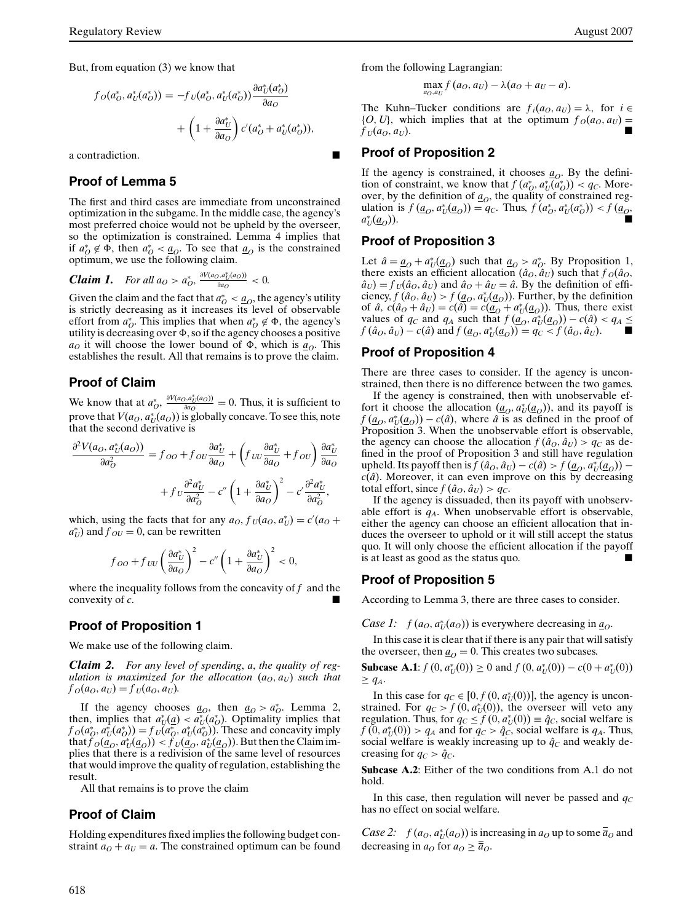But, from equation (3) we know that

$$
f_O(a_O^*, a_U^*(a_O^*)) = -f_U(a_O^*, a_U^*(a_O^*)) \frac{\partial a_U^*(a_O^*)}{\partial a_O}
$$

$$
+ \left(1 + \frac{\partial a_U^*}{\partial a_O}\right) c'(a_O^* + a_U^*(a_O^*)),
$$

a contradiction.

## **Proof of Lemma 5**

The first and third cases are immediate from unconstrained optimization in the subgame. In the middle case, the agency's most preferred choice would not be upheld by the overseer, so the optimization is constrained. Lemma 4 implies that if  $a^*_{\mathcal{O}} \notin \Phi$ , then  $a^*_{\mathcal{O}} < a_{\mathcal{O}}$ . To see that  $a_{\mathcal{O}}$  is the constrained optimum, we use the following claim.

# *<i>Claim 1. For all*  $a_0 > a_0^*$ *,*  $\frac{\partial V(a_0, a_0^*(a_0))}{\partial a_0} < 0$ *.*

Given the claim and the fact that  $a^*_{\theta} < \underline{a}_O$ , the agency's utility is strictly decreasing as it increases its level of observable effort from  $a_0^*$ . This implies that when  $a_0^* \notin \Phi$ , the agency's utility is decreasing over  $\Phi$ , so if the agency chooses a positive  $a<sub>O</sub>$  it will choose the lower bound of  $\Phi$ , which is  $a<sub>O</sub>$ . This establishes the result. All that remains is to prove the claim.

### **Proof of Claim**

We know that at  $a_0^*$ ,  $\frac{\partial V(a_0, a_U^*(a_0))}{\partial a_0} = 0$ . Thus, it is sufficient to prove that  $V(a_O, a_U^*(a_O))$  is globally concave. To see this, note that the second derivative is

$$
\frac{\partial^2 V(a_O, a_U^*(a_O))}{\partial a_O^2} = f_{OO} + f_{OU} \frac{\partial a_U^*}{\partial a_O} + \left( f_{UU} \frac{\partial a_U^*}{\partial a_O} + f_{OU} \right) \frac{\partial a_U^*}{\partial a_O} \n+ f_U \frac{\partial^2 a_U^*}{\partial a_O^2} - c'' \left( 1 + \frac{\partial a_U^*}{\partial a_O} \right)^2 - c' \frac{\partial^2 a_U^*}{\partial a_O^2},
$$

which, using the facts that for any  $a_O$ ,  $f_U(a_O, a_U^*) = c'(a_O + b_O)$  $a_U^*$  and  $f_{OU} = 0$ , can be rewritten

$$
f_{OO} + f_{UU} \left(\frac{\partial a_U^*}{\partial a_O}\right)^2 - c'' \left(1 + \frac{\partial a_U^*}{\partial a_O}\right)^2 < 0,
$$

where the inequality follows from the concavity of *f* and the convexity of *c*.

#### **Proof of Proposition 1**

We make use of the following claim.

*Claim 2. For any level of spending*, *a*, *the quality of regulation is maximized for the allocation*  $(a<sub>0</sub>, a<sub>U</sub>)$  *such that*  $f_O(a_O, a_U) = f_U(a_O, a_U)$ .

If the agency chooses  $\underline{a}_0$ , then  $\underline{a}_0 > a_0^*$ . Lemma 2, then, implies that  $a^*_{U}(\underline{a}) < a^*_{U}(a^*_{O})$ . Optimality implies that  $f_o(a_o^*, a_U^*(a_o^*)) = f_v(a_o^*, a_U^*(a_o^*))$ . These and concavity imply that  $f_O(\underline{a}_O, a^*_{U}(\underline{a}_O)) < f_U(\underline{a}_O, a^*_{U}(\underline{a}_O))$ . But then the Claim implies that there is a redivision of the same level of resources that would improve the quality of regulation, establishing the result.

All that remains is to prove the claim

### **Proof of Claim**

Holding expenditures fixed implies the following budget constraint  $a_0 + a_0 = a$ . The constrained optimum can be found from the following Lagrangian:

$$
\max_{a_O, a_U} f(a_O, a_U) - \lambda(a_O + a_U - a).
$$

The Kuhn–Tucker conditions are  $f_i(a_0, a_U) = \lambda$ , for  $i \in$ { $O$ *, U}*, which implies that at the optimum  $f_O(a_O, a_U) =$  $f_U(a_O, a_U)$ .

#### **Proof of Proposition 2**

If the agency is constrained, it chooses  $a<sub>O</sub>$ . By the definition of constraint, we know that  $f(a_0^*, a_U^*(a_0^*)) < q_c$ . Moreover, by the definition of  $\underline{a}_0$ , the quality of constrained regulation is *f* (*aO, a*<sup>∗</sup> *<sup>U</sup>*(*aO*)) = *qC*. Thus, *f* (*a*<sup>∗</sup> *<sup>O</sup>, a*<sup>∗</sup> *U*(*a*<sup>∗</sup> *<sup>O</sup>*)) *< f* (*aO,*  $a_{IJ}^*(a_{\Omega})).$  $U^*(\underline{a}_O)$ .

#### **Proof of Proposition 3**

Let  $\hat{a} = \underline{a}_O + a_U^*(\underline{a}_O)$  such that  $\underline{a}_O > a_O^*$ . By Proposition 1, there exists an efficient allocation  $(\hat{a}_O, \hat{a}_U)$  such that  $f_O(\hat{a}_O, \hat{a}_U)$  $\hat{a}_U$ ) =  $f_U(\hat{a}_O, \hat{a}_U)$  and  $\hat{a}_O + \hat{a}_U = \hat{a}$ . By the definition of efficiency,  $f(\hat{a}_O, \hat{a}_U) > f(\underline{a}_O, a_U^*(\underline{a}_O))$ . Further, by the definition of  $\hat{a}$ ,  $c(\hat{a}_O + \hat{a}_U) = c(\hat{a}) = c(\underline{a}_O + a_U^*(\underline{a}_O))$ . Thus, there exist values of  $q_c$  and  $q_A$  such that  $f(\underline{a}_0, \overline{a}_U^*(\underline{a}_0)) - c(\hat{a}) < q_A \leq$  $f(\hat{a}_O, \hat{a}_U) - c(\hat{a})$  and  $f(\underline{a}_O, a^*_{U}(\underline{a}_O)) = q_C < f(\hat{a}_O, \hat{a}_U)$ .

#### **Proof of Proposition 4**

There are three cases to consider. If the agency is unconstrained, then there is no difference between the two games.

If the agency is constrained, then with unobservable effort it choose the allocation  $(\underline{a}_O, a_U^*(\underline{a}_O))$ , and its payoff is  $f(\underline{a}_O, a_U^*(\underline{a}_O)) - c(\hat{a})$ , where  $\hat{a}$  is as defined in the proof of Proposition 3. When the unobservable effort is observable, the agency can choose the allocation  $f(\hat{a}_0, \hat{a}_0) > q_c$  as defined in the proof of Proposition 3 and still have regulation upheld. Its payoff then is  $\bar{f}(\hat{a}_O, \hat{a}_U) - c(\hat{a}) > f(\underline{a}_O, a_U^*(\underline{a}_O))$  –  $c(\hat{a})$ . Moreover, it can even improve on this by decreasing total effort, since  $f(\hat{a}_O, \hat{a}_U) > q_C$ .

If the agency is dissuaded, then its payoff with unobservable effort is  $q_A$ . When unobservable effort is observable, either the agency can choose an efficient allocation that induces the overseer to uphold or it will still accept the status quo. It will only choose the efficient allocation if the payoff is at least as good as the status quo.

### **Proof of Proposition 5**

According to Lemma 3, there are three cases to consider.

*Case 1:*  $f(a_0, a_U^*(a_0))$  is everywhere decreasing in  $\underline{a}_0$ .

In this case it is clear that if there is any pair that will satisfy the overseer, then  $\underline{a}_0 = 0$ . This creates two subcases.

**Subcase A.1**:  $f(0, a^*_{U}(0)) \ge 0$  and  $f(0, a^*_{U}(0)) - c(0 + a^*_{U}(0))$ ≥ *qA*.

In this case for  $q_C \in [0, f(0, a_U^*(0))]$ , the agency is unconstrained. For  $q_c > f(0, a^*_{U}(0))$ , the overseer will veto any regulation. Thus, for  $q_C \le f(0, a^*_{U}(0)) \equiv \hat{q}_C$ , social welfare is  $f(0, a^*_{U}(0)) > q_A$  and for  $q_C > \hat{q}_C$ , social welfare is  $q_A$ . Thus, social welfare is weakly increasing up to  $\hat{q}_C$  and weakly decreasing for  $q_c > \hat{q}_c$ .

**Subcase A.2**: Either of the two conditions from A.1 do not hold.

In this case, then regulation will never be passed and  $q_c$ has no effect on social welfare.

*Case 2:*  $f(a_0, a^*_{U}(a_0))$  is increasing in  $a_0$  up to some  $\overline{a}_0$  and decreasing in  $a_O$  for  $a_O \geq \overline{a}_O$ .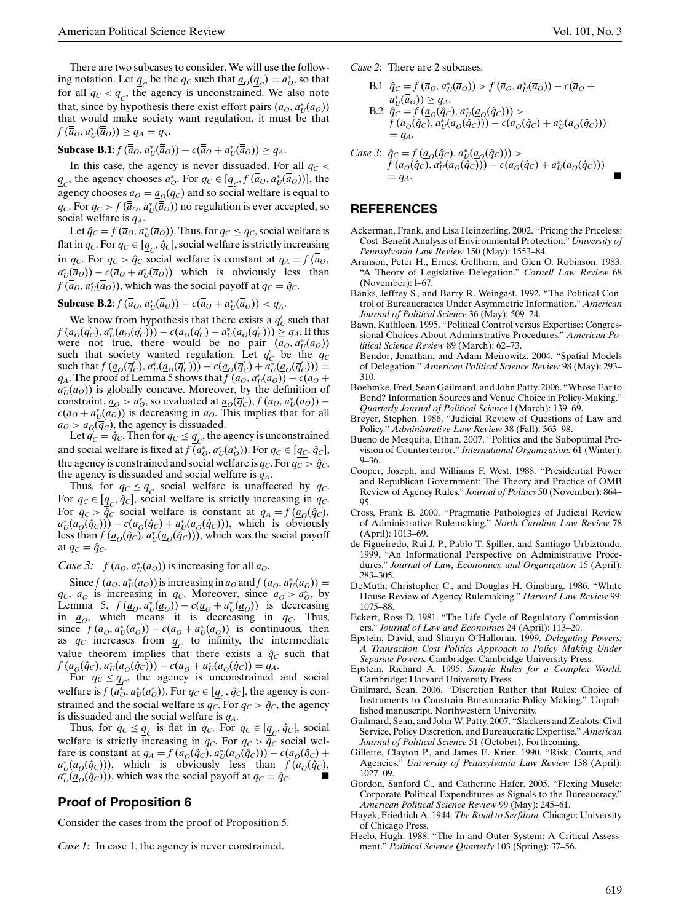There are two subcases to consider. We will use the following notation. Let  $q_c$  be the  $q_c$  such that  $q_o(q_c) = a_o^*$ , so that for all  $q_C < q_c$ , the agency is unconstrained. We also note that, since by hypothesis there exist effort pairs  $(a_O, a_U^*(a_O))$ that would make society want regulation, it must be that  $f(\overline{\overline{a}}_O, a^*_U(\overline{\overline{a}}_O)) \ge q_A = q_S.$ 

**Subcase B.1**:  $f(\overline{\overline{a}}_O, a^*_{U}(\overline{\overline{a}}_O)) - c(\overline{\overline{a}}_O + a^*_{U}(\overline{\overline{a}}_O)) \ge q_A$ .

In this case, the agency is never dissuaded. For all  $q_C$  <  $q_C$ , the agency chooses  $a_O^*$ . For  $q_C \in [q_C, f(\overline{\overline{a}}_O, a_U^*(\overline{\overline{a}}_O))]$ , the agency chooses  $a_O = \underline{a}_O(q_C)$  and so social welfare is equal to  $q_C$ . For  $q_C > f(\overline{\overline{a}}_O, a_U^*(\overline{\overline{a}}_O))$  no regulation is ever accepted, so social welfare is *qA*.

Let  $\hat{q}_C = f(\overline{\overline{a}}_O, a_U^*(\overline{\overline{a}}_O))$ . Thus, for  $q_C \leq \underline{q_C}$ , social welfare is flat in  $q_c$ . For  $q_c \in [q_c, \hat{q}_c]$ , social welfare is strictly increasing in  $q_c$ . For  $q_c > \hat{q}_c$  social welfare is constant at  $q_A = f(\bar{a}_0, \bar{a}_1)$  $a_U^*(\overline{\overline{a}}_O) - c(\overline{\overline{a}}_O + a_U^*(\overline{\overline{a}}_O))$  which is obviously less than *f* ( $\overline{\overline{a}}_O$ ,  $a_U^*(\overline{\overline{a}}_O)$ ), which was the social payoff at  $q_C = \hat{q}_C$ .

**Subcase B.2**:  $f(\overline{\overline{a}}_O, a^*_{U}(\overline{\overline{a}}_O)) - c(\overline{\overline{a}}_O + a^*_{U}(\overline{\overline{a}}_O)) < q_A$ .

We know from hypothesis that there exists a  $q'_C$  such that *f* (*a*<sub>*C*</sub>(*d*<sub>*C*</sub>)</sub>, *a*<sub>*U*</sub>(*a*<sub>*C*</sub>)(*j*)) − *c*(*a*<sub>*C*</sub>(*d*<sub>*C*</sub>) + *a*<sub>*U*</sub><sup>*(a<sub><i>C*</sub>(*d*<sub>*C*</sub>)))) ≥ *q<sub>A</sub>*. If this</sup> were not true, there would be no pair  $(a_0, a_U^*(a_0))$ such that society wanted regulation. Let  $\overline{q}_C$  be the  $q_C$  $\text{such that } f(\underline{a}_{O}(\overline{q}_{C})), a_{U}^{*}(\underline{a}_{O}(\overline{q}_{C}))) - c(\underline{a}_{O}(\overline{q}_{C}) + a_{U}^{*}(\underline{a}_{O}(\overline{q}_{C}))) =$ *q*<sub>*A*</sub>. The proof of Lemma 5 shows that  $f(a_0, a^*_{U}(a_0)) - c(a_0 + a_0)$  $\left(\frac{a_v}{a_0}\right)$  is globally concave. Moreover, by the definition of constraint,  $\underline{a}_Q > a_Q^*$ , so evaluated at  $\underline{a}_Q(\overline{q}_C), f(a_O, a_U^*(a_O))$  –  $c(a_0 + a^*_{U}(a_0))$  is decreasing in  $a_0$ . This implies that for all  $a_O > a_O(\overline{q}_C)$ , the agency is dissuaded.

Let  $\overline{\vec{q}}_C = \hat{q}_C$ . Then for  $q_C \leq \underline{q}_C$ , the agency is unconstrained and social welfare is fixed at  $f(a_0^*, a_U^*(a_0^*))$ . For  $q_C \in [q_C, \hat{q}_C]$ , the agency is constrained and social welfare is  $q_c$ . For  $q_c > \hat{q}_c$ , the agency is dissuaded and social welfare is *qA*.

Thus, for  $q_c \leq q_c$  social welfare is unaffected by  $q_c$ . For  $q_c \in [q_c, \hat{q}_c]$ , social welfare is strictly increasing in  $q_c$ . For  $q_c > \overline{\hat{q}_c}$  social welfare is constant at  $q_A = f(\underline{a}_0(\hat{q}_c))$ ,  $a_U^*(\underline{a}_O(\hat{q}_C)) - c(\underline{a}_O(\hat{q}_C) + a_U^*(\underline{a}_O(\hat{q}_C)))$ , which is obviously less than  $f(\underline{a}_O(\hat{q}_C), a_U^*(\underline{a}_O(\hat{q}_C)))$ , which was the social payoff at  $q_C = \hat{q}_C$ .

*Case 3:*  $f(a_0, a^*U(a_0))$  is increasing for all  $a_0$ .

Since  $f(a_0, a^*_{U}(a_0))$  is increasing in  $a_0$  and  $f(a_0, a^*_{U}(a_0)) =$  $q_c$ ,  $q_o$  is increasing in  $q_c$ . Moreover, since  $q_o > a_o^*$ , by Lemma 5,  $f(\underline{a}_0, \overline{a}_U^*(\underline{a}_0)) - c(\underline{a}_0 + a_U^*(\underline{a}_0))$  is decreasing in  $a<sub>O</sub>$ , which means it is decreasing in  $q<sub>C</sub>$ . Thus,  $\text{since } f(\underline{a}_O, a_U^*(\underline{a}_O)) - c(\underline{a}_O + a_U^*(\underline{a}_O)) \text{ is continuous, then}$ as  $q_c$  increases from  $q_c$  to infinity, the intermediate value theorem implies that there exists a  $\hat{q}_C$  such that  $f(\underline{a}_O(\hat{q}_C), a^*_U(\underline{a}_O(\hat{q}_C))) - c(\underline{a}_O + a^*_U(\underline{a}_O(\hat{q}_C))) = q_A.$ 

For  $q_c \leq \underline{q}_c$ , the agency is unconstrained and social welfare is  $f(a_0^*, a_U^*(a_0^*))$ . For  $q_C \in [q_C, \hat{q}_C]$ , the agency is constrained and the social welfare is  $q_c$ . For  $q_c > \hat{q}_c$ , the agency is dissuaded and the social welfare is *qA*.

Thus, for  $q_C \leq \underline{q}_C$  is flat in  $q_C$ . For  $q_C \in [\underline{q}_C, \hat{q}_C]$ , social welfare is strictly increasing in  $q_C$ . For  $q_C > \hat{q}_C$  social welfare is constant at  $q_A = f(\underline{a}_O(\hat{q}_C), a_U^*(\underline{a}_O(\hat{q}_C))) - c(\underline{a}_O(\hat{q}_C)) + c(\underline{a}_O(\hat{q}_C))$  $a_U^*(\underline{a}_O(\hat{q}_C))$ ), which is obviously less than  $f(\underline{a}_O(\hat{q}_C))$ ,  $a^*_{U}(\overline{a}_O(\hat{q}_C)))$ , which was the social payoff at  $q_C = \hat{q}_C$ .

### **Proof of Proposition 6**

Consider the cases from the proof of Proposition 5.

*Case 1*: In case 1, the agency is never constrained.

*Case 2*: There are 2 subcases.

B.1 
$$
\hat{q}_C = f(\overline{\overline{a}}_O, a^*_{U}(\overline{\overline{a}}_O)) > f(\overline{\overline{a}}_O, a^*_{U}(\overline{\overline{a}}_O)) - c(\overline{\overline{a}}_O + a^*_{U}(\overline{\overline{a}}_O)) \ge q_A.
$$
  
\nB.2  $\hat{q}_C = f(a_O(\hat{q}_C), a^*_{U}(a_O(\hat{q}_C))) > f(a_O(\hat{q}_C), a^*_{U}(a_O(\hat{q}_C))) - c(a_O(\hat{q}_C) + a^*_{U}(a_O(\hat{q}_C)))$ 

Case 3: 
$$
\hat{q}_C = f(a_O(\hat{q}_C), a_U^*(a_O(\hat{q}_C))) >
$$
  
\n $f(a_O(\hat{q}_C), a_U^*(a_O(\hat{q}_C))) - c(a_O(\hat{q}_C) + a_U^*(a_O(\hat{q}_C)))$   
\n $= q_A.$ 

### **REFERENCES**

 $= q_A$ .

- Ackerman, Frank, and Lisa Heinzerling. 2002. "Pricing the Priceless: Cost-Benefit Analysis of Environmental Protection." *University of Pennsylvania Law Review* 150 (May): 1553–84.
- Aranson, Peter H., Ernest Gellhorn, and Glen O. Robinson. 1983. "A Theory of Legislative Delegation." *Cornell Law Review* 68 (November): l–67.
- Banks, Jeffrey S., and Barry R. Weingast. 1992. "The Political Control of Bureaucracies Under Asymmetric Information." *American Journal of Political Science* 36 (May): 509–24.
- Bawn, Kathleen. 1995. "Political Control versus Expertise: Congressional Choices About Administrative Procedures." *American Political Science Review* 89 (March): 62–73.
- Bendor, Jonathan, and Adam Meirowitz. 2004. "Spatial Models of Delegation." *American Political Science Review* 98 (May): 293– 310.
- Boehmke, Fred, Sean Gailmard, and John Patty. 2006. "Whose Ear to Bend? Information Sources and Venue Choice in Policy-Making." *Quarterly Journal of Political Science* l (March): 139–69.
- Breyer, Stephen. 1986. "Judicial Review of Questions of Law and Policy." *Administrative Law Review* 38 (Fall): 363–98.
- Bueno de Mesquita, Ethan. 2007. "Politics and the Suboptimal Provision of Counterterror." *International Organization.* 61 (Winter): 9–36.
- Cooper, Joseph, and Williams F. West. 1988. "Presidential Power and Republican Government: The Theory and Practice of OMB Review of Agency Rules." *Journal of Politics* 50 (November): 864– 95.
- Cross, Frank B. 2000. "Pragmatic Pathologies of Judicial Review of Administrative Rulemaking." *North Carolina Law Review* 78 (April): 1013–69.
- de Figueiredo, Rui J. P., Pablo T. Spiller, and Santiago Urbiztondo. 1999. "An Informational Perspective on Administrative Procedures." *Journal of Law, Economics, and Organization* 15 (April): 283–305.
- DeMuth, Christopher C., and Douglas H. Ginsburg. 1986. "White House Review of Agency Rulemaking." *Harvard Law Review* 99: 1075–88.
- Eckert, Ross D. 1981. "The Life Cycle of Regulatory Commissioners." *Journal of Law and Economics* 24 (April): 113–20.
- Epstein, David, and Sharyn O'Halloran. 1999. *Delegating Powers: A Transaction Cost Politics Approach to Policy Making Under Separate Powers.* Cambridge: Cambridge University Press.
- Epstein, Richard A. 1995. *Simple Rules for a Complex World.* Cambridge: Harvard University Press.
- Gailmard, Sean. 2006. "Discretion Rather that Rules: Choice of Instruments to Constrain Bureaucratic Policy-Making." Unpublished manuscript, Northwestern University.
- Gailmard, Sean, and John W. Patty. 2007. "Slackers and Zealots: Civil Service, Policy Discretion, and Bureaucratic Expertise." *American Journal of Political Science* 51 (October). Forthcoming.
- Gillette, Clayton P., and James E. Krier. 1990. "Risk, Courts, and Agencies." *University of Pennsylvania Law Review* 138 (April): 1027–09.
- Gordon, Sanford C., and Catherine Hafer. 2005. "Flexing Muscle: Corporate Political Expenditures as Signals to the Bureaucracy." *American Political Science Review* 99 (May): 245–61.
- Hayek, Friedrich A. 1944. *The Road to Serfdom.* Chicago: University of Chicago Press.
- Heclo, Hugh. 1988. "The In-and-Outer System: A Critical Assessment." *Political Science Quarterly* 103 (Spring): 37–56.